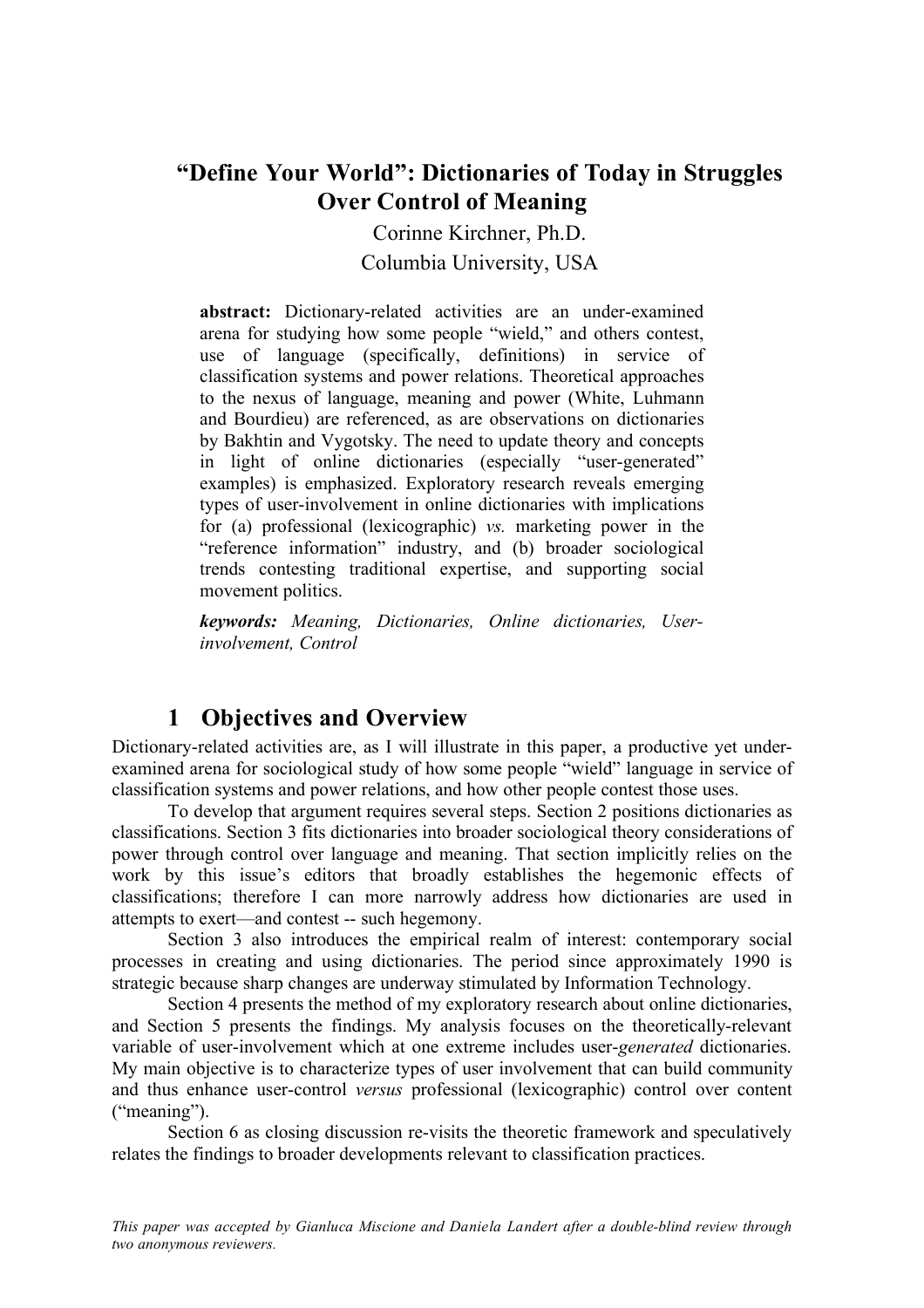# **"Define Your World": Dictionaries of Today in Struggles Over Control of Meaning**

Corinne Kirchner, Ph.D.

Columbia University, USA

**abstract:** Dictionary-related activities are an under-examined arena for studying how some people "wield," and others contest, use of language (specifically, definitions) in service of classification systems and power relations. Theoretical approaches to the nexus of language, meaning and power (White, Luhmann and Bourdieu) are referenced, as are observations on dictionaries by Bakhtin and Vygotsky. The need to update theory and concepts in light of online dictionaries (especially "user-generated" examples) is emphasized. Exploratory research reveals emerging types of user-involvement in online dictionaries with implications for (a) professional (lexicographic) *vs.* marketing power in the "reference information" industry, and (b) broader sociological trends contesting traditional expertise, and supporting social movement politics.

*keywords: Meaning, Dictionaries, Online dictionaries, Userinvolvement, Control* 

## **1 Objectives and Overview**

Dictionary-related activities are, as I will illustrate in this paper, a productive yet underexamined arena for sociological study of how some people "wield" language in service of classification systems and power relations, and how other people contest those uses.

To develop that argument requires several steps. Section 2 positions dictionaries as classifications. Section 3 fits dictionaries into broader sociological theory considerations of power through control over language and meaning. That section implicitly relies on the work by this issue's editors that broadly establishes the hegemonic effects of classifications; therefore I can more narrowly address how dictionaries are used in attempts to exert—and contest -- such hegemony.

Section 3 also introduces the empirical realm of interest: contemporary social processes in creating and using dictionaries. The period since approximately 1990 is strategic because sharp changes are underway stimulated by Information Technology.

Section 4 presents the method of my exploratory research about online dictionaries, and Section 5 presents the findings. My analysis focuses on the theoretically-relevant variable of user-involvement which at one extreme includes user-*generated* dictionaries. My main objective is to characterize types of user involvement that can build community and thus enhance user-control *versus* professional (lexicographic) control over content ("meaning").

Section 6 as closing discussion re-visits the theoretic framework and speculatively relates the findings to broader developments relevant to classification practices.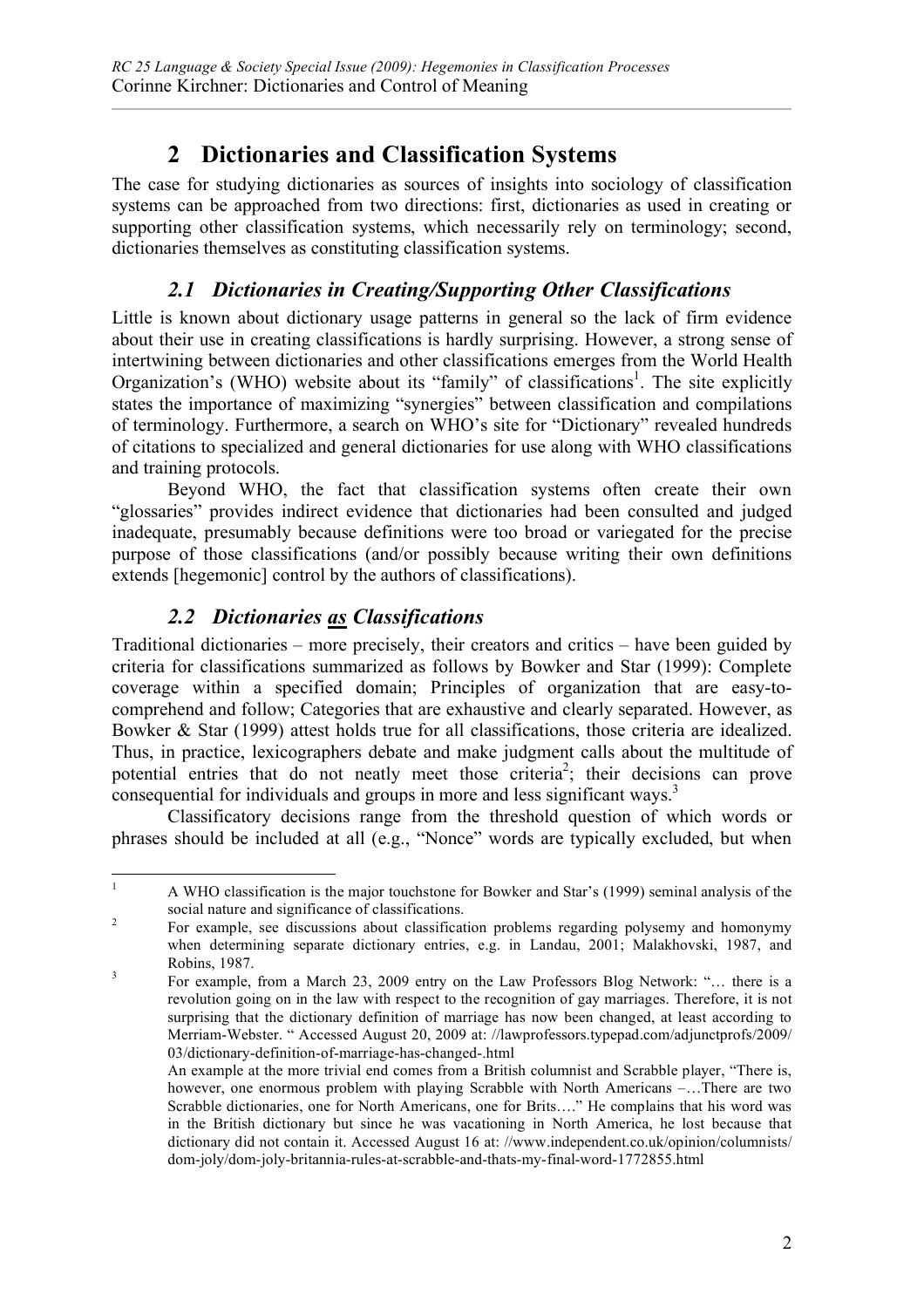# **2 Dictionaries and Classification Systems**

The case for studying dictionaries as sources of insights into sociology of classification systems can be approached from two directions: first, dictionaries as used in creating or supporting other classification systems, which necessarily rely on terminology; second, dictionaries themselves as constituting classification systems.

## *2.1 Dictionaries in Creating/Supporting Other Classifications*

Little is known about dictionary usage patterns in general so the lack of firm evidence about their use in creating classifications is hardly surprising. However, a strong sense of intertwining between dictionaries and other classifications emerges from the World Health Organization's (WHO) website about its "family" of classifications<sup>1</sup>. The site explicitly states the importance of maximizing "synergies" between classification and compilations of terminology. Furthermore, a search on WHO's site for "Dictionary" revealed hundreds of citations to specialized and general dictionaries for use along with WHO classifications and training protocols.

Beyond WHO, the fact that classification systems often create their own "glossaries" provides indirect evidence that dictionaries had been consulted and judged inadequate, presumably because definitions were too broad or variegated for the precise purpose of those classifications (and/or possibly because writing their own definitions extends [hegemonic] control by the authors of classifications).

## *2.2 Dictionaries as Classifications*

Traditional dictionaries – more precisely, their creators and critics – have been guided by criteria for classifications summarized as follows by Bowker and Star (1999): Complete coverage within a specified domain; Principles of organization that are easy-tocomprehend and follow; Categories that are exhaustive and clearly separated. However, as Bowker & Star (1999) attest holds true for all classifications, those criteria are idealized. Thus, in practice, lexicographers debate and make judgment calls about the multitude of potential entries that do not neatly meet those criteria<sup>2</sup>; their decisions can prove consequential for individuals and groups in more and less significant ways.<sup>3</sup>

Classificatory decisions range from the threshold question of which words or phrases should be included at all (e.g., "Nonce" words are typically excluded, but when

<sup>&</sup>lt;sup>1</sup> A WHO classification is the major touchstone for Bowker and Star's (1999) seminal analysis of the social nature and significance of classifications.<br><sup>2</sup> For example, see discussions about classification problems regarding polysemy and homonymy

when determining separate dictionary entries, e.g. in Landau, 2001; Malakhovski, 1987, and Robins, 1987.<br><sup>3</sup> For example, from a March 23, 2009 entry on the Law Professors Blog Network: "… there is a

revolution going on in the law with respect to the recognition of gay marriages. Therefore, it is not surprising that the dictionary definition of marriage has now been changed, at least according to Merriam-Webster. " Accessed August 20, 2009 at: //lawprofessors.typepad.com/adjunctprofs/2009/ 03/dictionary-definition-of-marriage-has-changed-.html

An example at the more trivial end comes from a British columnist and Scrabble player, "There is, however, one enormous problem with playing Scrabble with North Americans –…There are two Scrabble dictionaries, one for North Americans, one for Brits…." He complains that his word was in the British dictionary but since he was vacationing in North America, he lost because that dictionary did not contain it. Accessed August 16 at: //www.independent.co.uk/opinion/columnists/ dom-joly/dom-joly-britannia-rules-at-scrabble-and-thats-my-final-word-1772855.html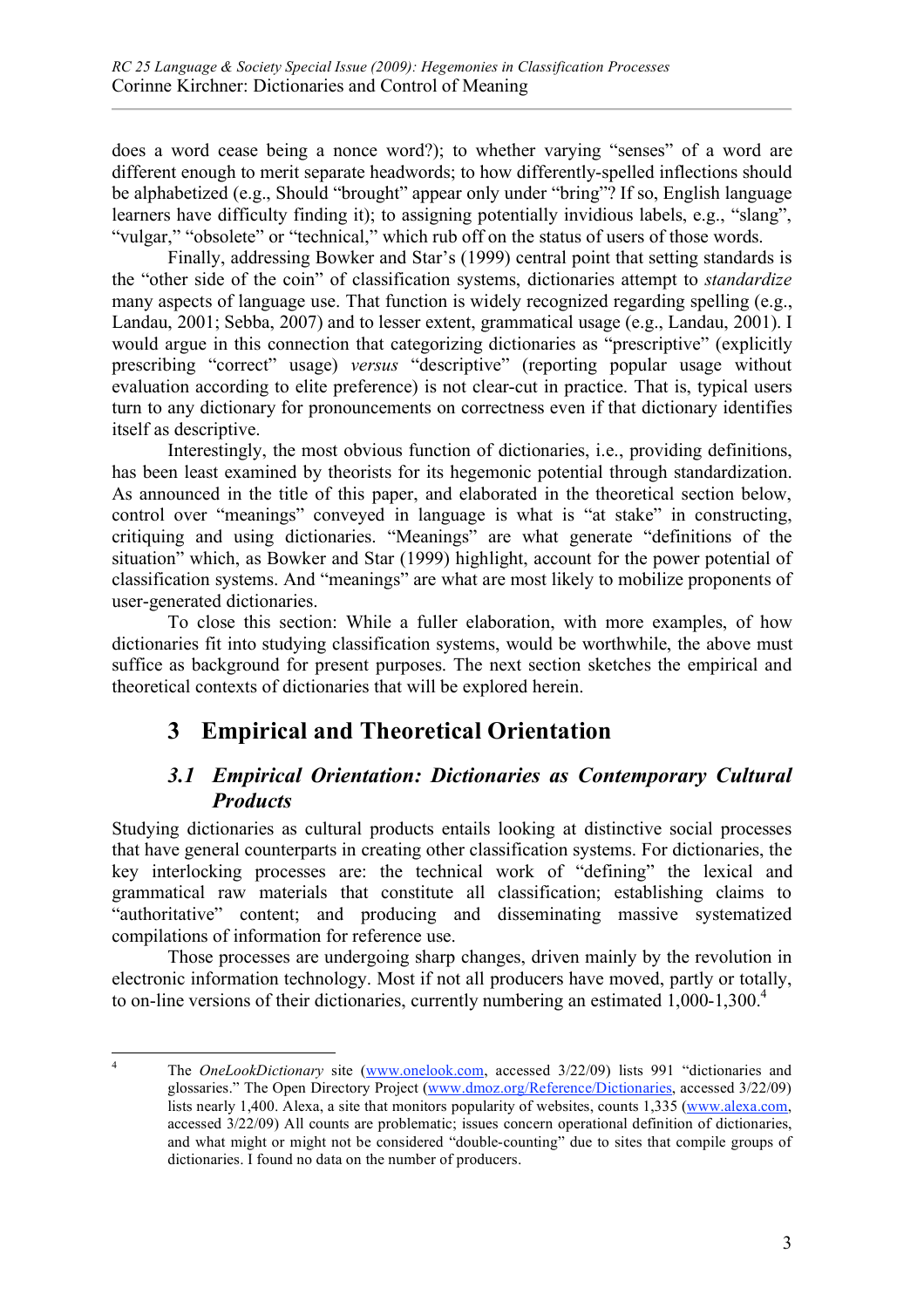does a word cease being a nonce word?); to whether varying "senses" of a word are different enough to merit separate headwords; to how differently-spelled inflections should be alphabetized (e.g., Should "brought" appear only under "bring"? If so, English language learners have difficulty finding it); to assigning potentially invidious labels, e.g., "slang", "vulgar," "obsolete" or "technical," which rub off on the status of users of those words.

Finally, addressing Bowker and Star's (1999) central point that setting standards is the "other side of the coin" of classification systems, dictionaries attempt to *standardize*  many aspects of language use. That function is widely recognized regarding spelling (e.g., Landau, 2001; Sebba, 2007) and to lesser extent, grammatical usage (e.g., Landau, 2001). I would argue in this connection that categorizing dictionaries as "prescriptive" (explicitly prescribing "correct" usage) *versus* "descriptive" (reporting popular usage without evaluation according to elite preference) is not clear-cut in practice. That is, typical users turn to any dictionary for pronouncements on correctness even if that dictionary identifies itself as descriptive.

Interestingly, the most obvious function of dictionaries, i.e., providing definitions, has been least examined by theorists for its hegemonic potential through standardization. As announced in the title of this paper, and elaborated in the theoretical section below, control over "meanings" conveyed in language is what is "at stake" in constructing, critiquing and using dictionaries. "Meanings" are what generate "definitions of the situation" which, as Bowker and Star (1999) highlight, account for the power potential of classification systems. And "meanings" are what are most likely to mobilize proponents of user-generated dictionaries.

To close this section: While a fuller elaboration, with more examples, of how dictionaries fit into studying classification systems, would be worthwhile, the above must suffice as background for present purposes. The next section sketches the empirical and theoretical contexts of dictionaries that will be explored herein.

# **3 Empirical and Theoretical Orientation**

## *3.1 Empirical Orientation: Dictionaries as Contemporary Cultural Products*

Studying dictionaries as cultural products entails looking at distinctive social processes that have general counterparts in creating other classification systems. For dictionaries, the key interlocking processes are: the technical work of "defining" the lexical and grammatical raw materials that constitute all classification; establishing claims to "authoritative" content; and producing and disseminating massive systematized compilations of information for reference use.

Those processes are undergoing sharp changes, driven mainly by the revolution in electronic information technology. Most if not all producers have moved, partly or totally, to on-line versions of their dictionaries, currently numbering an estimated 1,000-1,300.<sup>4</sup>

<sup>&</sup>lt;sup>4</sup> The *OneLookDictionary* site (www.onelook.com, accessed 3/22/09) lists 991 "dictionaries and glossaries." The Open Directory Project (www.dmoz.org/Reference/Dictionaries, accessed 3/22/09) lists nearly 1,400. Alexa, a site that monitors popularity of websites, counts 1,335 (www.alexa.com, accessed 3/22/09) All counts are problematic; issues concern operational definition of dictionaries, and what might or might not be considered "double-counting" due to sites that compile groups of dictionaries. I found no data on the number of producers.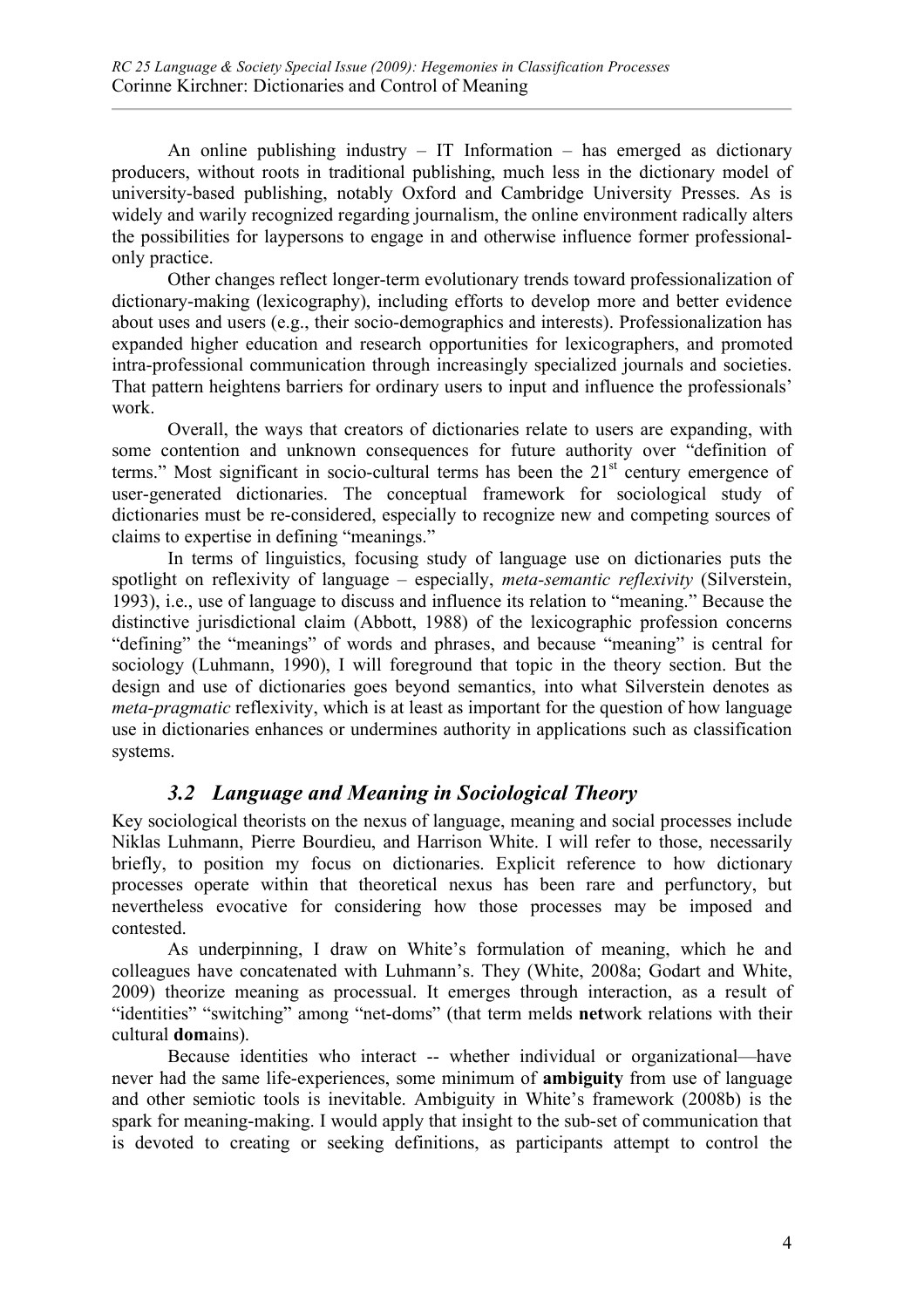An online publishing industry – IT Information – has emerged as dictionary producers, without roots in traditional publishing, much less in the dictionary model of university-based publishing, notably Oxford and Cambridge University Presses. As is widely and warily recognized regarding journalism, the online environment radically alters the possibilities for laypersons to engage in and otherwise influence former professionalonly practice.

Other changes reflect longer-term evolutionary trends toward professionalization of dictionary-making (lexicography), including efforts to develop more and better evidence about uses and users (e.g., their socio-demographics and interests). Professionalization has expanded higher education and research opportunities for lexicographers, and promoted intra-professional communication through increasingly specialized journals and societies. That pattern heightens barriers for ordinary users to input and influence the professionals' work.

Overall, the ways that creators of dictionaries relate to users are expanding, with some contention and unknown consequences for future authority over "definition of terms." Most significant in socio-cultural terms has been the  $21<sup>st</sup>$  century emergence of user-generated dictionaries. The conceptual framework for sociological study of dictionaries must be re-considered, especially to recognize new and competing sources of claims to expertise in defining "meanings."

In terms of linguistics, focusing study of language use on dictionaries puts the spotlight on reflexivity of language – especially, *meta-semantic reflexivity* (Silverstein, 1993), i.e., use of language to discuss and influence its relation to "meaning." Because the distinctive jurisdictional claim (Abbott, 1988) of the lexicographic profession concerns "defining" the "meanings" of words and phrases, and because "meaning" is central for sociology (Luhmann, 1990), I will foreground that topic in the theory section. But the design and use of dictionaries goes beyond semantics, into what Silverstein denotes as *meta-pragmatic* reflexivity, which is at least as important for the question of how language use in dictionaries enhances or undermines authority in applications such as classification systems.

## *3.2 Language and Meaning in Sociological Theory*

Key sociological theorists on the nexus of language, meaning and social processes include Niklas Luhmann, Pierre Bourdieu, and Harrison White. I will refer to those, necessarily briefly, to position my focus on dictionaries. Explicit reference to how dictionary processes operate within that theoretical nexus has been rare and perfunctory, but nevertheless evocative for considering how those processes may be imposed and contested.

As underpinning, I draw on White's formulation of meaning, which he and colleagues have concatenated with Luhmann's. They (White, 2008a; Godart and White, 2009) theorize meaning as processual. It emerges through interaction, as a result of "identities" "switching" among "net-doms" (that term melds **net**work relations with their cultural **dom**ains).

Because identities who interact -- whether individual or organizational—have never had the same life-experiences, some minimum of **ambiguity** from use of language and other semiotic tools is inevitable. Ambiguity in White's framework (2008b) is the spark for meaning-making. I would apply that insight to the sub-set of communication that is devoted to creating or seeking definitions, as participants attempt to control the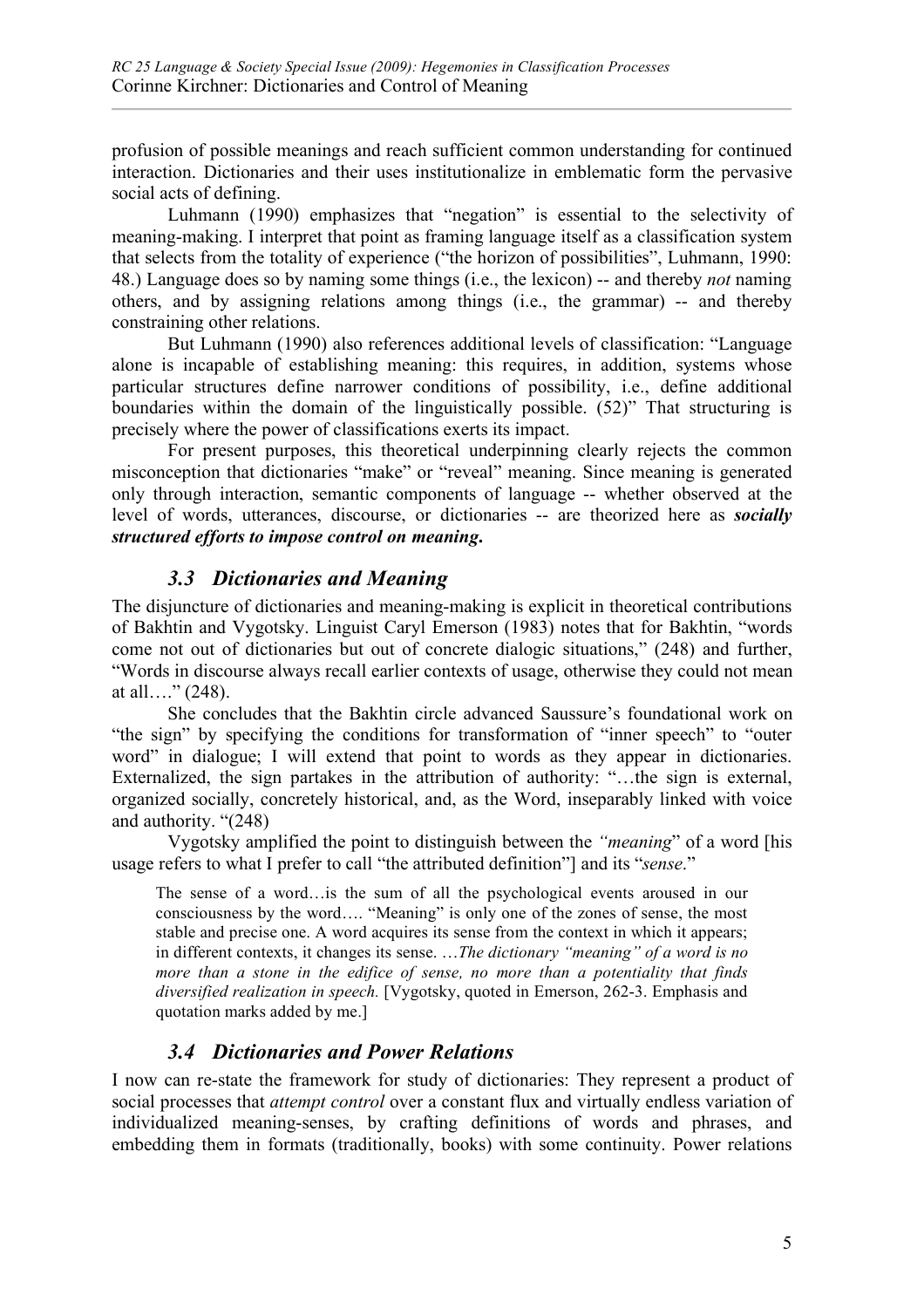profusion of possible meanings and reach sufficient common understanding for continued interaction. Dictionaries and their uses institutionalize in emblematic form the pervasive social acts of defining.

Luhmann (1990) emphasizes that "negation" is essential to the selectivity of meaning-making. I interpret that point as framing language itself as a classification system that selects from the totality of experience ("the horizon of possibilities", Luhmann, 1990: 48.) Language does so by naming some things (i.e., the lexicon) -- and thereby *not* naming others, and by assigning relations among things (i.e., the grammar) -- and thereby constraining other relations.

But Luhmann (1990) also references additional levels of classification: "Language alone is incapable of establishing meaning: this requires, in addition, systems whose particular structures define narrower conditions of possibility, i.e., define additional boundaries within the domain of the linguistically possible. (52)" That structuring is precisely where the power of classifications exerts its impact.

For present purposes, this theoretical underpinning clearly rejects the common misconception that dictionaries "make" or "reveal" meaning. Since meaning is generated only through interaction, semantic components of language -- whether observed at the level of words, utterances, discourse, or dictionaries -- are theorized here as *socially structured efforts to impose control on meaning***.**

### *3.3 Dictionaries and Meaning*

The disjuncture of dictionaries and meaning-making is explicit in theoretical contributions of Bakhtin and Vygotsky. Linguist Caryl Emerson (1983) notes that for Bakhtin, "words come not out of dictionaries but out of concrete dialogic situations," (248) and further, "Words in discourse always recall earlier contexts of usage, otherwise they could not mean at all…."  $(248)$ .

She concludes that the Bakhtin circle advanced Saussure's foundational work on "the sign" by specifying the conditions for transformation of "inner speech" to "outer word" in dialogue; I will extend that point to words as they appear in dictionaries. Externalized, the sign partakes in the attribution of authority: "…the sign is external, organized socially, concretely historical, and, as the Word, inseparably linked with voice and authority. "(248)

Vygotsky amplified the point to distinguish between the *"meaning*" of a word [his usage refers to what I prefer to call "the attributed definition"] and its "*sense*."

The sense of a word…is the sum of all the psychological events aroused in our consciousness by the word…. "Meaning" is only one of the zones of sense, the most stable and precise one. A word acquires its sense from the context in which it appears; in different contexts, it changes its sense. …*The dictionary "meaning" of a word is no more than a stone in the edifice of sense, no more than a potentiality that finds diversified realization in speech.* [Vygotsky, quoted in Emerson, 262-3. Emphasis and quotation marks added by me.]

## *3.4 Dictionaries and Power Relations*

I now can re-state the framework for study of dictionaries: They represent a product of social processes that *attempt control* over a constant flux and virtually endless variation of individualized meaning-senses, by crafting definitions of words and phrases, and embedding them in formats (traditionally, books) with some continuity. Power relations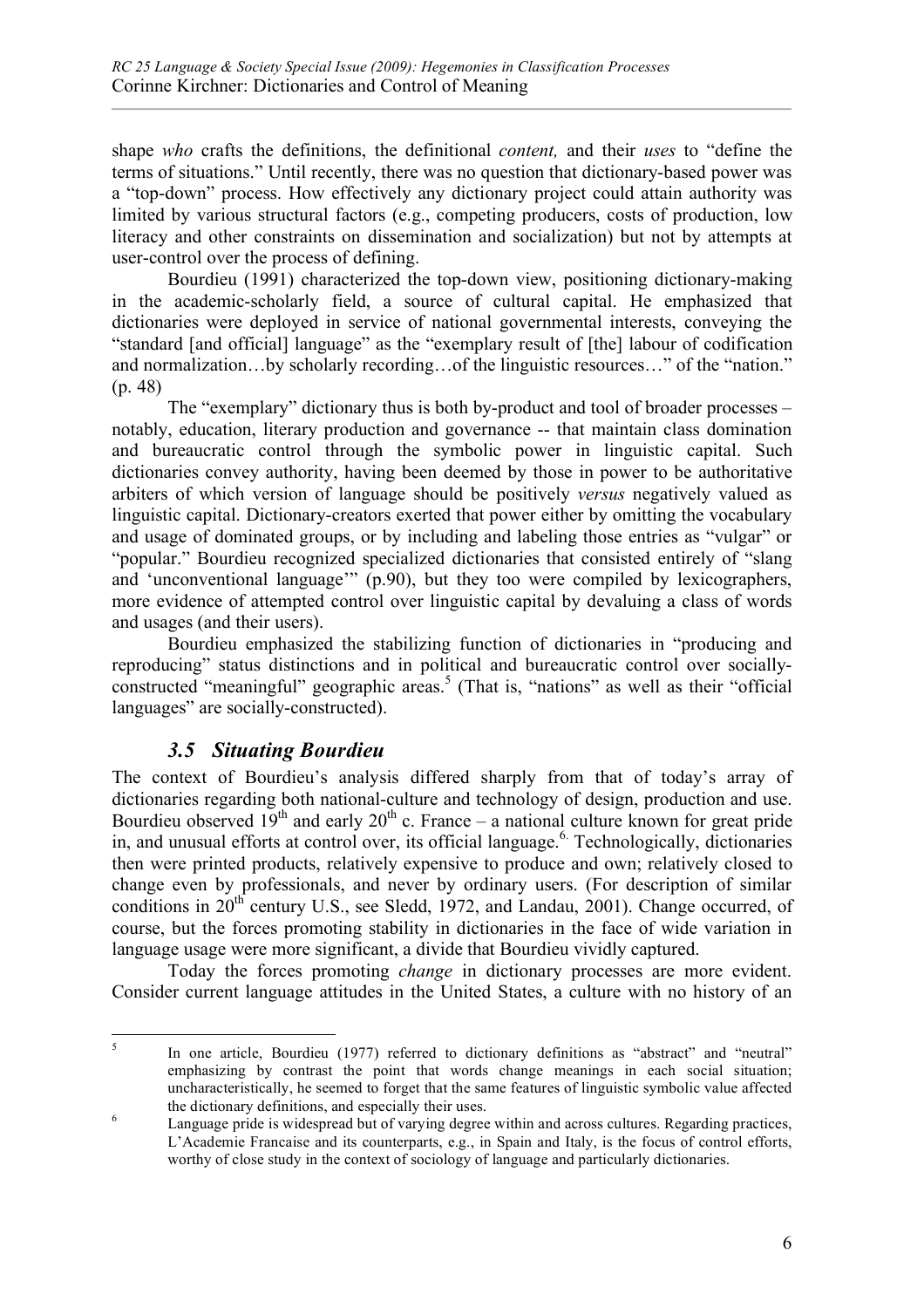shape *who* crafts the definitions, the definitional *content,* and their *uses* to "define the terms of situations." Until recently, there was no question that dictionary-based power was a "top-down" process. How effectively any dictionary project could attain authority was limited by various structural factors (e.g., competing producers, costs of production, low literacy and other constraints on dissemination and socialization) but not by attempts at user-control over the process of defining.

Bourdieu (1991) characterized the top-down view, positioning dictionary-making in the academic-scholarly field, a source of cultural capital. He emphasized that dictionaries were deployed in service of national governmental interests, conveying the "standard [and official] language" as the "exemplary result of [the] labour of codification and normalization…by scholarly recording…of the linguistic resources…" of the "nation." (p. 48)

The "exemplary" dictionary thus is both by-product and tool of broader processes – notably, education, literary production and governance -- that maintain class domination and bureaucratic control through the symbolic power in linguistic capital. Such dictionaries convey authority, having been deemed by those in power to be authoritative arbiters of which version of language should be positively *versus* negatively valued as linguistic capital. Dictionary-creators exerted that power either by omitting the vocabulary and usage of dominated groups, or by including and labeling those entries as "vulgar" or "popular." Bourdieu recognized specialized dictionaries that consisted entirely of "slang and 'unconventional language'" (p.90), but they too were compiled by lexicographers, more evidence of attempted control over linguistic capital by devaluing a class of words and usages (and their users).

Bourdieu emphasized the stabilizing function of dictionaries in "producing and reproducing" status distinctions and in political and bureaucratic control over sociallyconstructed "meaningful" geographic areas.<sup>5</sup> (That is, "nations" as well as their "official languages" are socially-constructed).

## *3.5 Situating Bourdieu*

The context of Bourdieu's analysis differed sharply from that of today's array of dictionaries regarding both national-culture and technology of design, production and use. Bourdieu observed  $19<sup>th</sup>$  and early  $20<sup>th</sup>$  c. France – a national culture known for great pride in, and unusual efforts at control over, its official language.<sup>6</sup> Technologically, dictionaries then were printed products, relatively expensive to produce and own; relatively closed to change even by professionals, and never by ordinary users. (For description of similar conditions in  $20<sup>th</sup>$  century U.S., see Sledd, 1972, and Landau, 2001). Change occurred, of course, but the forces promoting stability in dictionaries in the face of wide variation in language usage were more significant, a divide that Bourdieu vividly captured.

Today the forces promoting *change* in dictionary processes are more evident. Consider current language attitudes in the United States, a culture with no history of an

<sup>&</sup>lt;sup>5</sup> In one article, Bourdieu (1977) referred to dictionary definitions as "abstract" and "neutral" emphasizing by contrast the point that words change meanings in each social situation; uncharacteristically, he seemed to forget that the same features of linguistic symbolic value affected the dictionary definitions, and especially their uses.<br>
Language pride is widespread but of varying degree within and across cultures. Regarding practices,

L'Academie Francaise and its counterparts, e.g., in Spain and Italy, is the focus of control efforts, worthy of close study in the context of sociology of language and particularly dictionaries.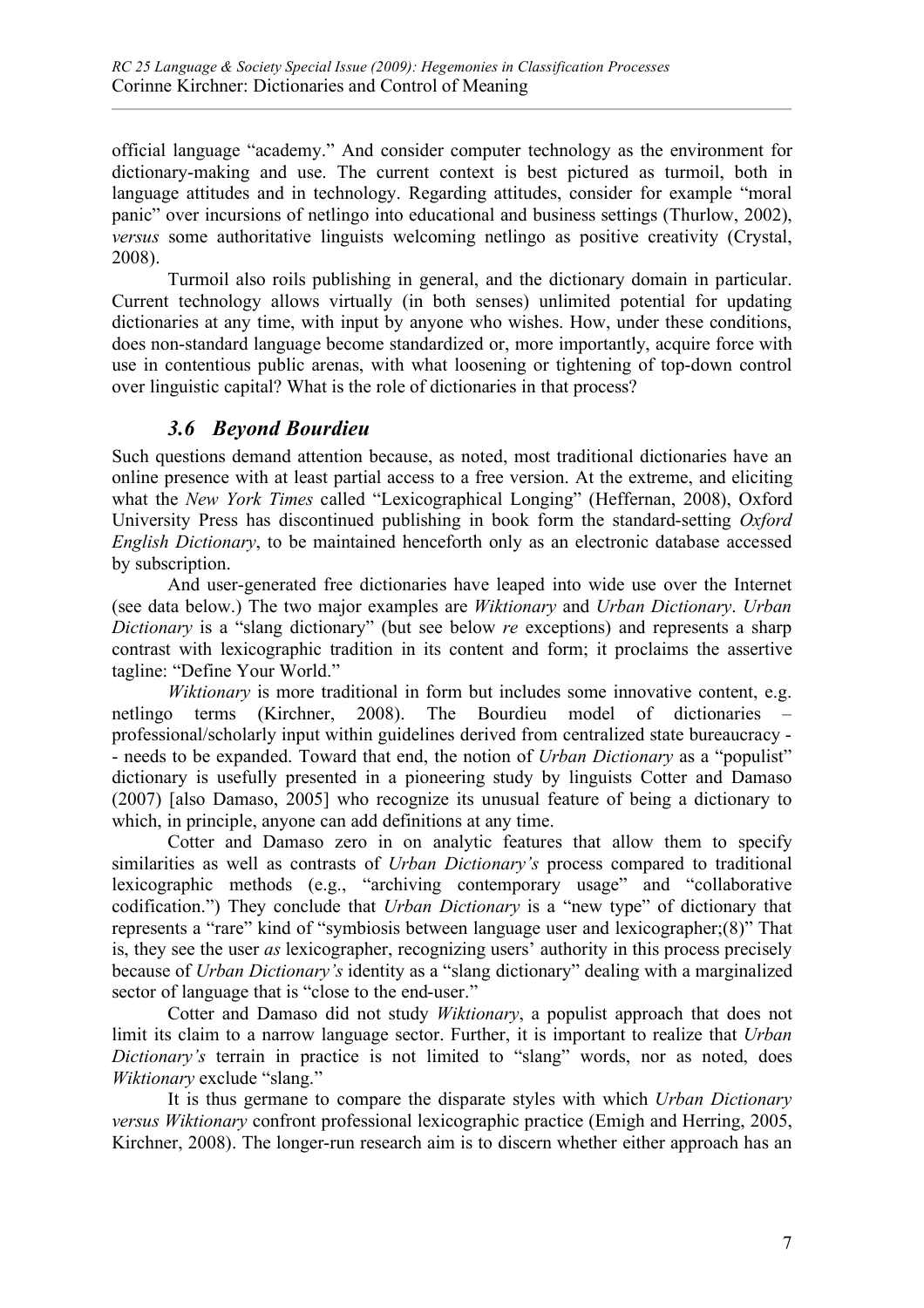official language "academy." And consider computer technology as the environment for dictionary-making and use. The current context is best pictured as turmoil, both in language attitudes and in technology. Regarding attitudes, consider for example "moral panic" over incursions of netlingo into educational and business settings (Thurlow, 2002), *versus* some authoritative linguists welcoming netlingo as positive creativity (Crystal, 2008).

Turmoil also roils publishing in general, and the dictionary domain in particular. Current technology allows virtually (in both senses) unlimited potential for updating dictionaries at any time, with input by anyone who wishes. How, under these conditions, does non-standard language become standardized or, more importantly, acquire force with use in contentious public arenas, with what loosening or tightening of top-down control over linguistic capital? What is the role of dictionaries in that process?

## *3.6 Beyond Bourdieu*

Such questions demand attention because, as noted, most traditional dictionaries have an online presence with at least partial access to a free version. At the extreme, and eliciting what the *New York Times* called "Lexicographical Longing" (Heffernan, 2008), Oxford University Press has discontinued publishing in book form the standard-setting *Oxford English Dictionary*, to be maintained henceforth only as an electronic database accessed by subscription.

And user-generated free dictionaries have leaped into wide use over the Internet (see data below.) The two major examples are *Wiktionary* and *Urban Dictionary*. *Urban Dictionary* is a "slang dictionary" (but see below *re* exceptions) and represents a sharp contrast with lexicographic tradition in its content and form; it proclaims the assertive tagline: "Define Your World."

*Wiktionary* is more traditional in form but includes some innovative content, e.g. netlingo terms (Kirchner, 2008). The Bourdieu model of dictionaries professional/scholarly input within guidelines derived from centralized state bureaucracy - - needs to be expanded. Toward that end, the notion of *Urban Dictionary* as a "populist" dictionary is usefully presented in a pioneering study by linguists Cotter and Damaso (2007) [also Damaso, 2005] who recognize its unusual feature of being a dictionary to which, in principle, anyone can add definitions at any time.

Cotter and Damaso zero in on analytic features that allow them to specify similarities as well as contrasts of *Urban Dictionary's* process compared to traditional lexicographic methods (e.g., "archiving contemporary usage" and "collaborative codification.") They conclude that *Urban Dictionary* is a "new type" of dictionary that represents a "rare" kind of "symbiosis between language user and lexicographer;(8)" That is, they see the user *as* lexicographer, recognizing users' authority in this process precisely because of *Urban Dictionary's* identity as a "slang dictionary" dealing with a marginalized sector of language that is "close to the end-user."

Cotter and Damaso did not study *Wiktionary*, a populist approach that does not limit its claim to a narrow language sector. Further, it is important to realize that *Urban Dictionary's* terrain in practice is not limited to "slang" words, nor as noted, does *Wiktionary* exclude "slang."

It is thus germane to compare the disparate styles with which *Urban Dictionary versus Wiktionary* confront professional lexicographic practice (Emigh and Herring, 2005, Kirchner, 2008). The longer-run research aim is to discern whether either approach has an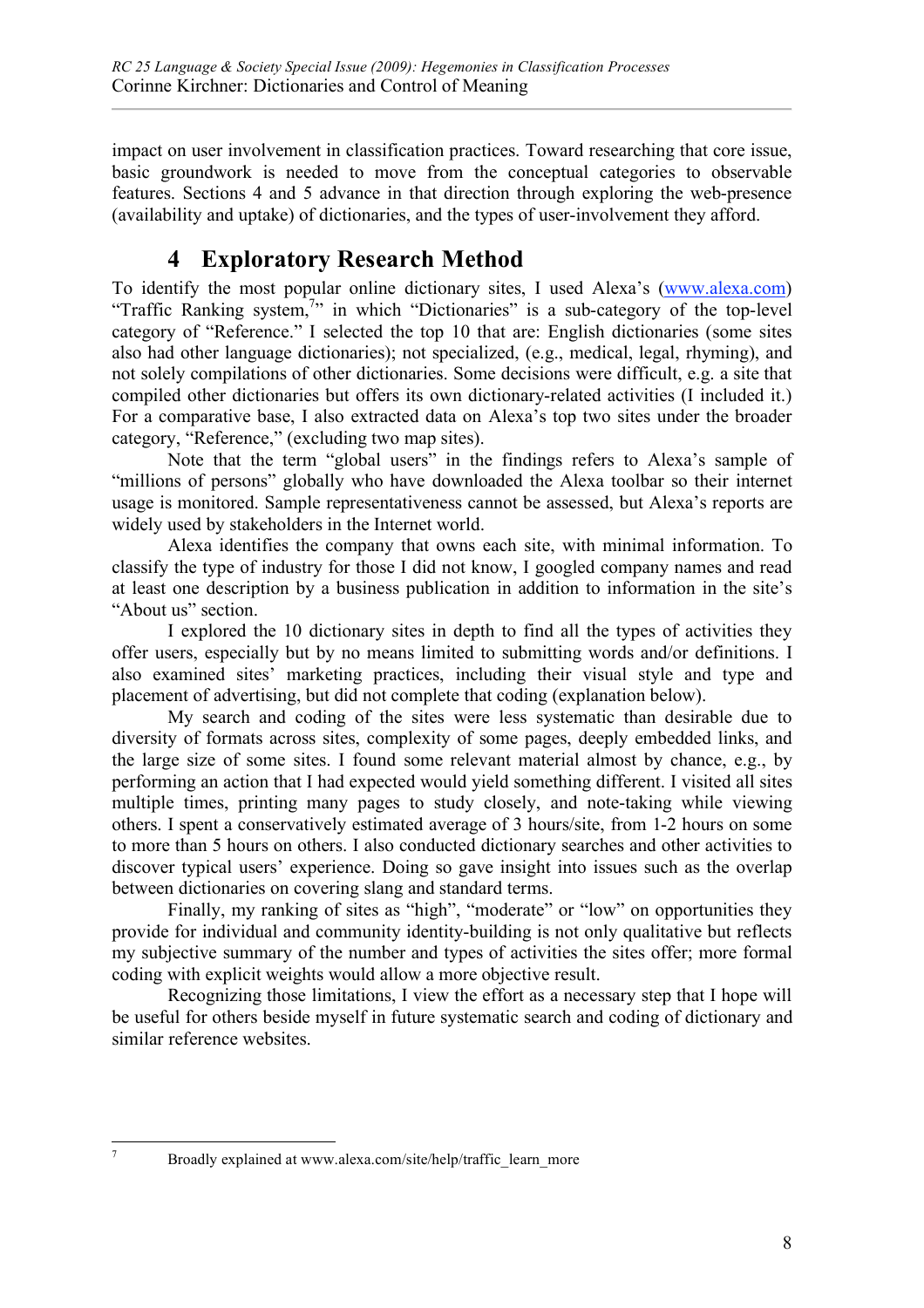impact on user involvement in classification practices. Toward researching that core issue, basic groundwork is needed to move from the conceptual categories to observable features. Sections 4 and 5 advance in that direction through exploring the web-presence (availability and uptake) of dictionaries, and the types of user-involvement they afford.

# **4 Exploratory Research Method**

To identify the most popular online dictionary sites, I used Alexa's (www.alexa.com) "Traffic Ranking system,<sup>7</sup>" in which "Dictionaries" is a sub-category of the top-level category of "Reference." I selected the top 10 that are: English dictionaries (some sites also had other language dictionaries); not specialized, (e.g., medical, legal, rhyming), and not solely compilations of other dictionaries. Some decisions were difficult, e.g. a site that compiled other dictionaries but offers its own dictionary-related activities (I included it.) For a comparative base, I also extracted data on Alexa's top two sites under the broader category, "Reference," (excluding two map sites).

Note that the term "global users" in the findings refers to Alexa's sample of "millions of persons" globally who have downloaded the Alexa toolbar so their internet usage is monitored. Sample representativeness cannot be assessed, but Alexa's reports are widely used by stakeholders in the Internet world.

Alexa identifies the company that owns each site, with minimal information. To classify the type of industry for those I did not know, I googled company names and read at least one description by a business publication in addition to information in the site's "About us" section.

I explored the 10 dictionary sites in depth to find all the types of activities they offer users, especially but by no means limited to submitting words and/or definitions. I also examined sites' marketing practices, including their visual style and type and placement of advertising, but did not complete that coding (explanation below).

My search and coding of the sites were less systematic than desirable due to diversity of formats across sites, complexity of some pages, deeply embedded links, and the large size of some sites. I found some relevant material almost by chance, e.g., by performing an action that I had expected would yield something different. I visited all sites multiple times, printing many pages to study closely, and note-taking while viewing others. I spent a conservatively estimated average of 3 hours/site, from 1-2 hours on some to more than 5 hours on others. I also conducted dictionary searches and other activities to discover typical users' experience. Doing so gave insight into issues such as the overlap between dictionaries on covering slang and standard terms.

Finally, my ranking of sites as "high", "moderate" or "low" on opportunities they provide for individual and community identity-building is not only qualitative but reflects my subjective summary of the number and types of activities the sites offer; more formal coding with explicit weights would allow a more objective result.

Recognizing those limitations, I view the effort as a necessary step that I hope will be useful for others beside myself in future systematic search and coding of dictionary and similar reference websites.

<sup>&</sup>lt;sup>7</sup> Broadly explained at www.alexa.com/site/help/traffic\_learn\_more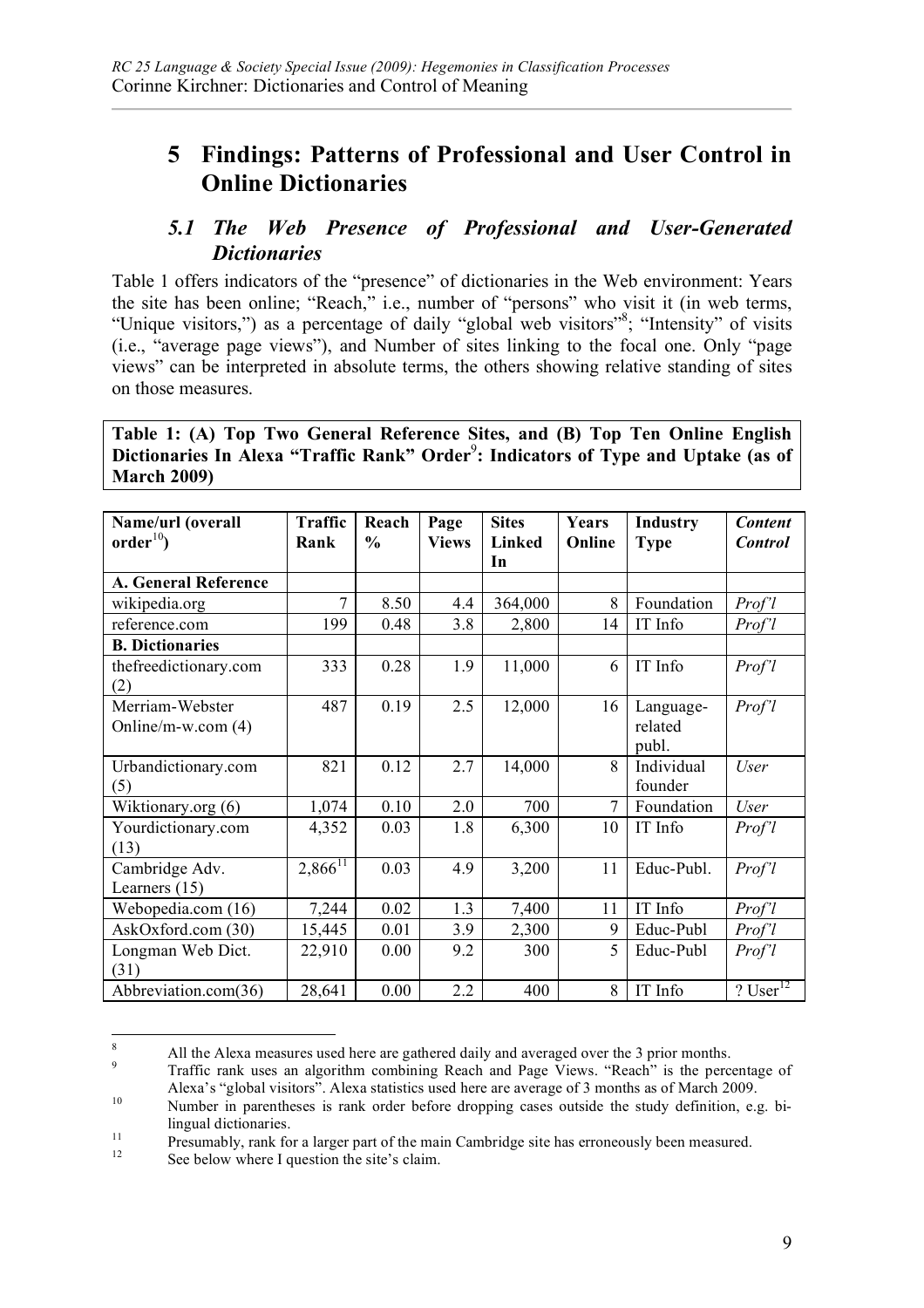# **5 Findings: Patterns of Professional and User Control in Online Dictionaries**

## *5.1 The Web Presence of Professional and User-Generated Dictionaries*

Table 1 offers indicators of the "presence" of dictionaries in the Web environment: Years the site has been online; "Reach," i.e., number of "persons" who visit it (in web terms, "Unique visitors,") as a percentage of daily "global web visitors", "Intensity" of visits (i.e., "average page views"), and Number of sites linking to the focal one. Only "page views" can be interpreted in absolute terms, the others showing relative standing of sites on those measures.

**Table 1: (A) Top Two General Reference Sites, and (B) Top Ten Online English**  Dictionaries In Alexa "Traffic Rank" Order<sup>9</sup>: Indicators of Type and Uptake (as of **March 2009)**

| Name/url (overall      | <b>Traffic</b>        | Reach         | Page         | <b>Sites</b> | Years          | Industry    | <b>Content</b> |
|------------------------|-----------------------|---------------|--------------|--------------|----------------|-------------|----------------|
| order <sup>10</sup>    | Rank                  | $\frac{6}{9}$ | <b>Views</b> | Linked<br>In | Online         | <b>Type</b> | <b>Control</b> |
|                        |                       |               |              |              |                |             |                |
| A. General Reference   |                       |               |              |              |                |             |                |
| wikipedia.org          | 7                     | 8.50          | 4.4          | 364,000      | 8              | Foundation  | Prof'l         |
| reference.com          | 199                   | 0.48          | 3.8          | 2,800        | 14             | IT Info     | Prof'l         |
| <b>B.</b> Dictionaries |                       |               |              |              |                |             |                |
| thefreedictionary.com  | 333                   | 0.28          | 1.9          | 11,000       | 6              | IT Info     | Prof'l         |
| (2)                    |                       |               |              |              |                |             |                |
| Merriam-Webster        | 487                   | 0.19          | 2.5          | 12,000       | 16             | Language-   | Prof'l         |
| Online/m-w.com (4)     |                       |               |              |              |                | related     |                |
|                        |                       |               |              |              |                | publ.       |                |
| Urbandictionary.com    | 821                   | 0.12          | 2.7          | 14,000       | 8              | Individual  | <b>User</b>    |
| (5)                    |                       |               |              |              |                | founder     |                |
| Wiktionary.org (6)     | 1,074                 | 0.10          | 2.0          | 700          | $\overline{7}$ | Foundation  | <b>User</b>    |
| Yourdictionary.com     | 4,352                 | 0.03          | 1.8          | 6,300        | 10             | IT Info     | Prof'l         |
| (13)                   |                       |               |              |              |                |             |                |
| Cambridge Adv.         | $2,866$ <sup>11</sup> | 0.03          | 4.9          | 3,200        | 11             | Educ-Publ.  | Prof'l         |
| Learners $(15)$        |                       |               |              |              |                |             |                |
| Webopedia.com (16)     | 7,244                 | 0.02          | 1.3          | 7,400        | 11             | IT Info     | Prof'l         |
| AskOxford.com (30)     | 15,445                | 0.01          | 3.9          | 2,300        | 9              | Educ-Publ   | Prof'l         |
| Longman Web Dict.      | 22,910                | 0.00          | 9.2          | 300          | 5              | Educ-Publ   | Prof'l         |
| (31)                   |                       |               |              |              |                |             |                |
| Abbreviation.com(36)   | 28,641                | 0.00          | 2.2          | 400          | 8              | IT Info     | ? User $12$    |

<sup>&</sup>lt;sup>8</sup><br>All the Alexa measures used here are gathered daily and averaged over the 3 prior months.<br>Traffic rank uses an algorithm combining Reach and Page Views. "Reach" is the percentage of<br>Alexa's "global visitors". Alexa sta

<sup>10</sup> Number in parentheses is rank order before dropping cases outside the study definition, e.g. bi-11 lingual dictionaries.<br>
11 Presumably, rank for a larger part of the main Cambridge site has erroneously been measured.<br>
12 See below where I question the site's claim.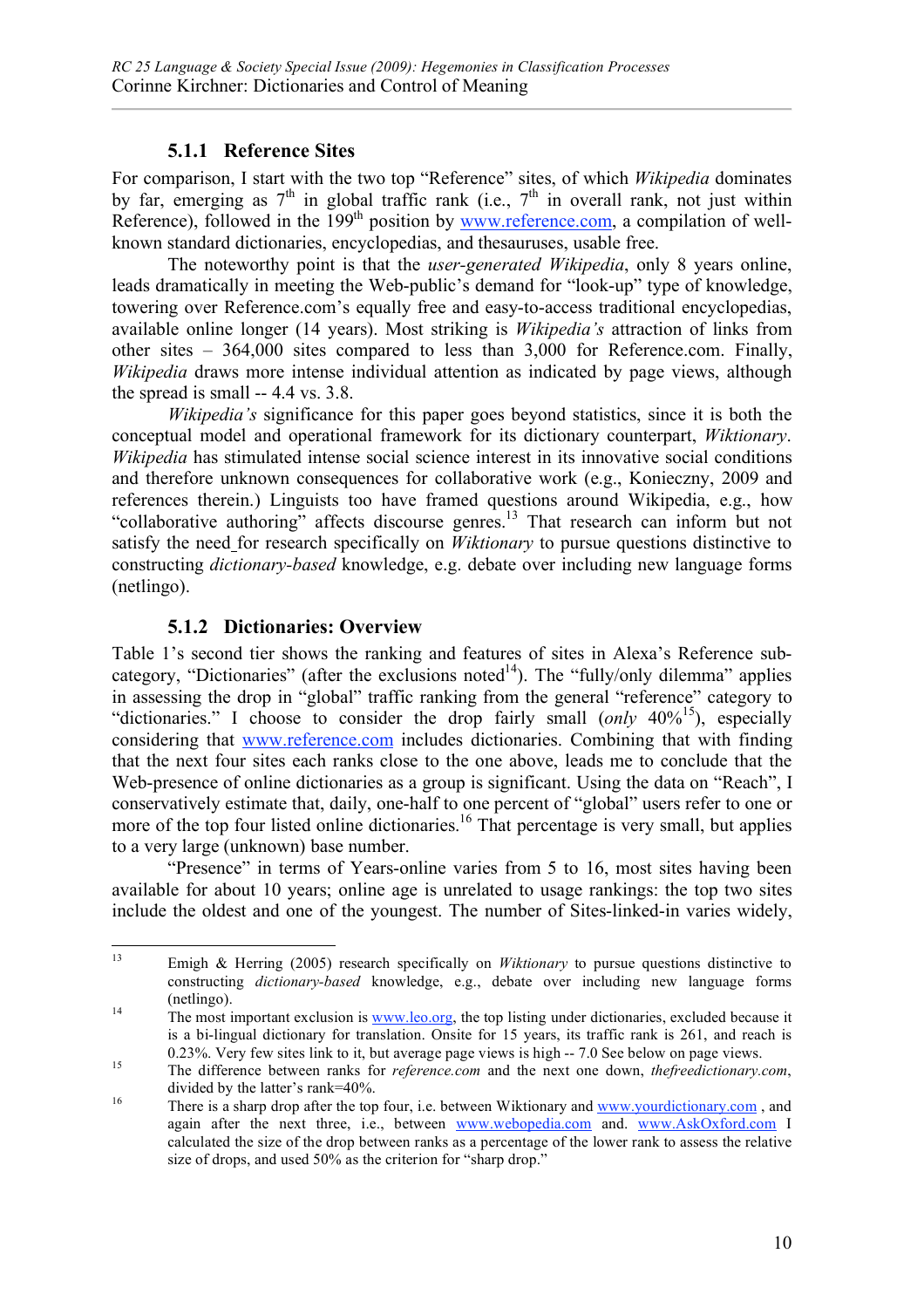#### **5.1.1 Reference Sites**

For comparison, I start with the two top "Reference" sites, of which *Wikipedia* dominates by far, emerging as  $7<sup>th</sup>$  in global traffic rank (i.e.,  $7<sup>th</sup>$  in overall rank, not just within Reference), followed in the  $199<sup>th</sup>$  position by  $\frac{www.reference.com}{www.reference.com}$ , a compilation of wellknown standard dictionaries, encyclopedias, and thesauruses, usable free.

The noteworthy point is that the *user-generated Wikipedia*, only 8 years online, leads dramatically in meeting the Web-public's demand for "look-up" type of knowledge, towering over Reference.com's equally free and easy-to-access traditional encyclopedias, available online longer (14 years). Most striking is *Wikipedia's* attraction of links from other sites – 364,000 sites compared to less than 3,000 for Reference.com. Finally, *Wikipedia* draws more intense individual attention as indicated by page views, although the spread is small -- 4.4 vs. 3.8.

*Wikipedia's* significance for this paper goes beyond statistics, since it is both the conceptual model and operational framework for its dictionary counterpart, *Wiktionary*. *Wikipedia* has stimulated intense social science interest in its innovative social conditions and therefore unknown consequences for collaborative work (e.g., Konieczny, 2009 and references therein.) Linguists too have framed questions around Wikipedia, e.g., how "collaborative authoring" affects discourse genres.<sup>13</sup> That research can inform but not satisfy the need for research specifically on *Wiktionary* to pursue questions distinctive to constructing *dictionary-based* knowledge, e.g. debate over including new language forms (netlingo).

#### **5.1.2 Dictionaries: Overview**

Table 1's second tier shows the ranking and features of sites in Alexa's Reference subcategory, "Dictionaries" (after the exclusions noted<sup>14</sup>). The "fully/only dilemma" applies in assessing the drop in "global" traffic ranking from the general "reference" category to "dictionaries." I choose to consider the drop fairly small (*only* 40%15), especially considering that www.reference.com includes dictionaries. Combining that with finding that the next four sites each ranks close to the one above, leads me to conclude that the Web-presence of online dictionaries as a group is significant. Using the data on "Reach", I conservatively estimate that, daily, one-half to one percent of "global" users refer to one or more of the top four listed online dictionaries.<sup>16</sup> That percentage is very small, but applies to a very large (unknown) base number.

"Presence" in terms of Years-online varies from 5 to 16, most sites having been available for about 10 years; online age is unrelated to usage rankings: the top two sites include the oldest and one of the youngest. The number of Sites-linked-in varies widely,

 <sup>13</sup> Emigh & Herring (2005) research specifically on *Wiktionary* to pursue questions distinctive to constructing *dictionary-based* knowledge, e.g., debate over including new language forms (netlingo).<br><sup>14</sup> The most important exclusion is www.leo.org, the top listing under dictionaries, excluded because it

is a bi-lingual dictionary for translation. Onsite for 15 years, its traffic rank is 261, and reach is 0.23%. Very few sites link to it, but average page views is high -- 7.0 See below on page views.<br>The difference between ranks for *reference.com* and the next one down, *thefreedictionary.com*,

divided by the latter's rank=40%.<br>There is a sharp drop after the top four, i.e. between Wiktionary and www.yourdictionary.com, and again after the next three, i.e., between www.webopedia.com and. www.AskOxford.com I calculated the size of the drop between ranks as a percentage of the lower rank to assess the relative size of drops, and used 50% as the criterion for "sharp drop."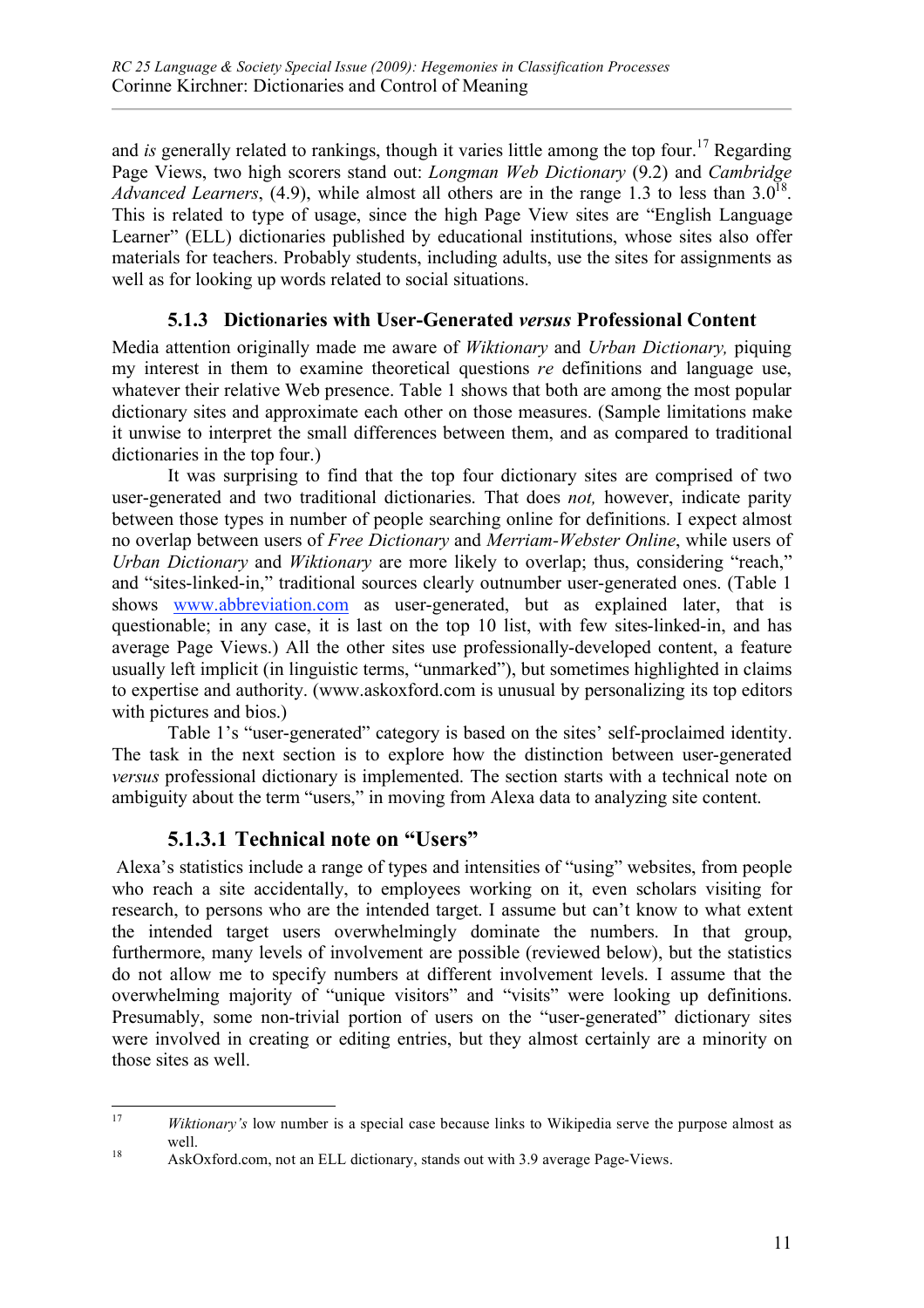and *is* generally related to rankings, though it varies little among the top four.<sup>17</sup> Regarding Page Views, two high scorers stand out: *Longman Web Dictionary* (9.2) and *Cambridge Advanced Learners*, (4.9), while almost all others are in the range 1.3 to less than  $3.0^{18}$ . This is related to type of usage, since the high Page View sites are "English Language Learner" (ELL) dictionaries published by educational institutions, whose sites also offer materials for teachers. Probably students, including adults, use the sites for assignments as well as for looking up words related to social situations.

#### **5.1.3 Dictionaries with User-Generated** *versus* **Professional Content**

Media attention originally made me aware of *Wiktionary* and *Urban Dictionary,* piquing my interest in them to examine theoretical questions *re* definitions and language use, whatever their relative Web presence. Table 1 shows that both are among the most popular dictionary sites and approximate each other on those measures. (Sample limitations make it unwise to interpret the small differences between them, and as compared to traditional dictionaries in the top four.)

It was surprising to find that the top four dictionary sites are comprised of two user-generated and two traditional dictionaries. That does *not,* however, indicate parity between those types in number of people searching online for definitions. I expect almost no overlap between users of *Free Dictionary* and *Merriam-Webster Online*, while users of *Urban Dictionary* and *Wiktionary* are more likely to overlap; thus, considering "reach," and "sites-linked-in," traditional sources clearly outnumber user-generated ones. (Table 1 shows www.abbreviation.com as user-generated, but as explained later, that is questionable; in any case, it is last on the top 10 list, with few sites-linked-in, and has average Page Views.) All the other sites use professionally-developed content, a feature usually left implicit (in linguistic terms, "unmarked"), but sometimes highlighted in claims to expertise and authority. (www.askoxford.com is unusual by personalizing its top editors with pictures and bios.)

Table 1's "user-generated" category is based on the sites' self-proclaimed identity. The task in the next section is to explore how the distinction between user-generated *versus* professional dictionary is implemented. The section starts with a technical note on ambiguity about the term "users," in moving from Alexa data to analyzing site content.

#### **5.1.3.1 Technical note on "Users"**

 Alexa's statistics include a range of types and intensities of "using" websites, from people who reach a site accidentally, to employees working on it, even scholars visiting for research, to persons who are the intended target. I assume but can't know to what extent the intended target users overwhelmingly dominate the numbers. In that group, furthermore, many levels of involvement are possible (reviewed below), but the statistics do not allow me to specify numbers at different involvement levels. I assume that the overwhelming majority of "unique visitors" and "visits" were looking up definitions. Presumably, some non-trivial portion of users on the "user-generated" dictionary sites were involved in creating or editing entries, but they almost certainly are a minority on those sites as well.

 <sup>17</sup> *Wiktionary's* low number is a special case because links to Wikipedia serve the purpose almost as well.<br><sup>18</sup> AskOxford.com, not an ELL dictionary, stands out with 3.9 average Page-Views.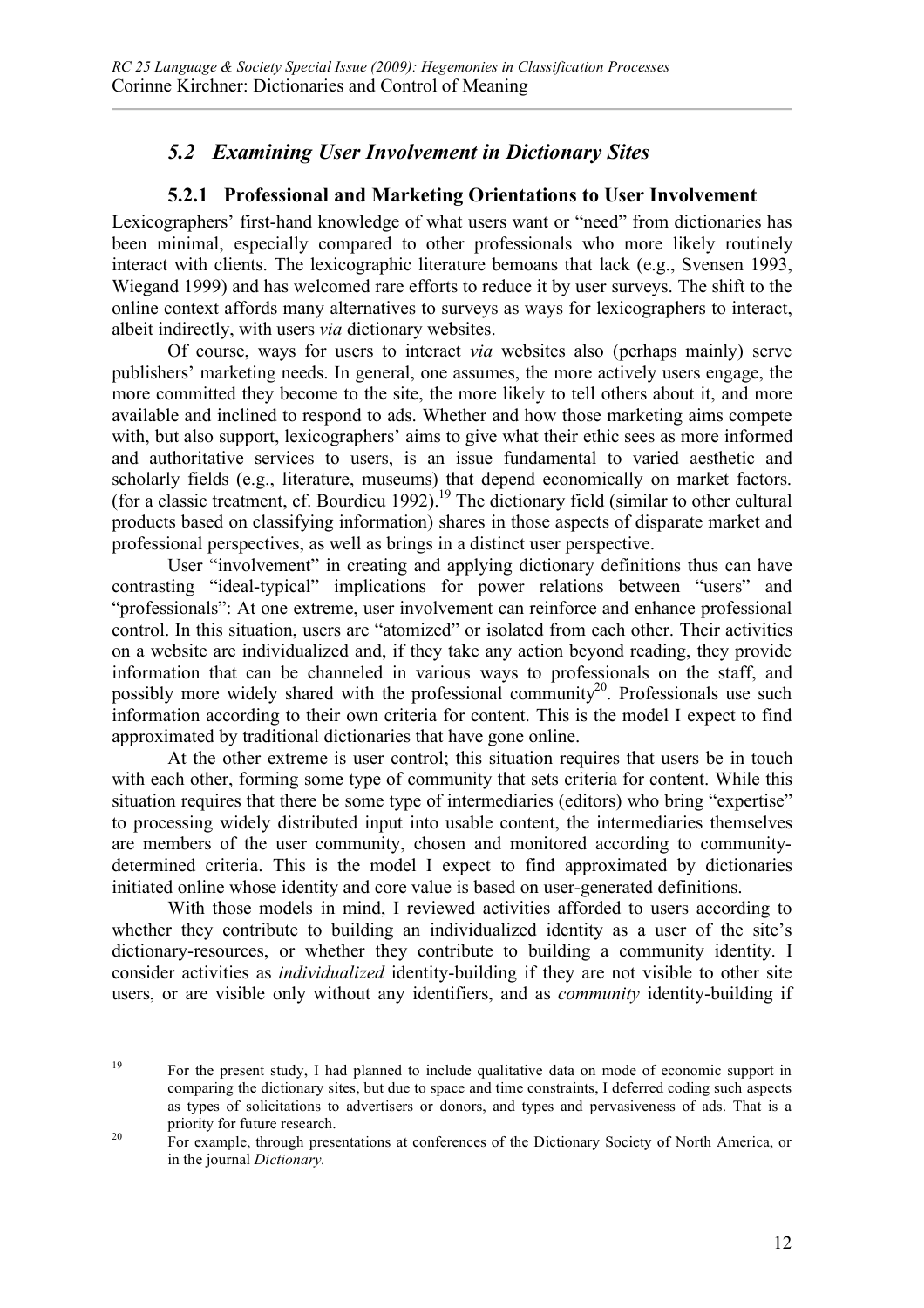## *5.2 Examining User Involvement in Dictionary Sites*

### **5.2.1 Professional and Marketing Orientations to User Involvement**

Lexicographers' first-hand knowledge of what users want or "need" from dictionaries has been minimal, especially compared to other professionals who more likely routinely interact with clients. The lexicographic literature bemoans that lack (e.g., Svensen 1993, Wiegand 1999) and has welcomed rare efforts to reduce it by user surveys. The shift to the online context affords many alternatives to surveys as ways for lexicographers to interact, albeit indirectly, with users *via* dictionary websites.

Of course, ways for users to interact *via* websites also (perhaps mainly) serve publishers' marketing needs. In general, one assumes, the more actively users engage, the more committed they become to the site, the more likely to tell others about it, and more available and inclined to respond to ads. Whether and how those marketing aims compete with, but also support, lexicographers' aims to give what their ethic sees as more informed and authoritative services to users, is an issue fundamental to varied aesthetic and scholarly fields (e.g., literature, museums) that depend economically on market factors. (for a classic treatment, cf. Bourdieu 1992).<sup>19</sup> The dictionary field (similar to other cultural products based on classifying information) shares in those aspects of disparate market and professional perspectives, as well as brings in a distinct user perspective.

User "involvement" in creating and applying dictionary definitions thus can have contrasting "ideal-typical" implications for power relations between "users" and "professionals": At one extreme, user involvement can reinforce and enhance professional control. In this situation, users are "atomized" or isolated from each other. Their activities on a website are individualized and, if they take any action beyond reading, they provide information that can be channeled in various ways to professionals on the staff, and possibly more widely shared with the professional community<sup>20</sup>. Professionals use such information according to their own criteria for content. This is the model I expect to find approximated by traditional dictionaries that have gone online.

At the other extreme is user control; this situation requires that users be in touch with each other, forming some type of community that sets criteria for content. While this situation requires that there be some type of intermediaries (editors) who bring "expertise" to processing widely distributed input into usable content, the intermediaries themselves are members of the user community, chosen and monitored according to communitydetermined criteria. This is the model I expect to find approximated by dictionaries initiated online whose identity and core value is based on user-generated definitions.

With those models in mind, I reviewed activities afforded to users according to whether they contribute to building an individualized identity as a user of the site's dictionary-resources, or whether they contribute to building a community identity. I consider activities as *individualized* identity-building if they are not visible to other site users, or are visible only without any identifiers, and as *community* identity-building if

<sup>&</sup>lt;sup>19</sup> For the present study, I had planned to include qualitative data on mode of economic support in comparing the dictionary sites, but due to space and time constraints, I deferred coding such aspects as types of solicitations to advertisers or donors, and types and pervasiveness of ads. That is a priority for future research.<br><sup>20</sup> For example, through presentations at conferences of the Dictionary Society of North America, or

in the journal *Dictionary.*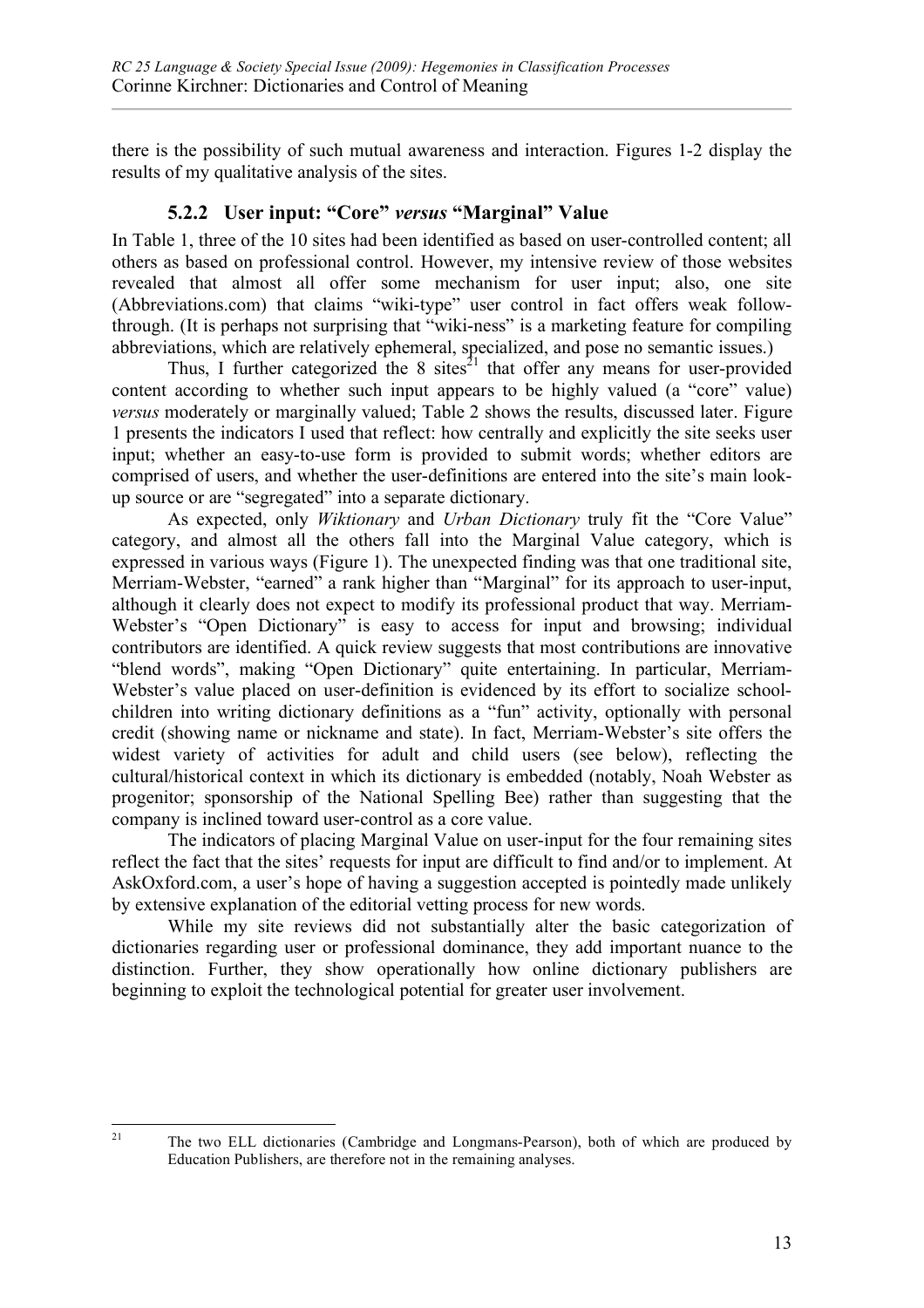there is the possibility of such mutual awareness and interaction. Figures 1-2 display the results of my qualitative analysis of the sites.

#### **5.2.2 User input: "Core"** *versus* **"Marginal" Value**

In Table 1, three of the 10 sites had been identified as based on user-controlled content; all others as based on professional control. However, my intensive review of those websites revealed that almost all offer some mechanism for user input; also, one site (Abbreviations.com) that claims "wiki-type" user control in fact offers weak followthrough. (It is perhaps not surprising that "wiki-ness" is a marketing feature for compiling abbreviations, which are relatively ephemeral, specialized, and pose no semantic issues.)

Thus, I further categorized the 8 sites<sup>21</sup> that offer any means for user-provided content according to whether such input appears to be highly valued (a "core" value) *versus* moderately or marginally valued; Table 2 shows the results, discussed later. Figure 1 presents the indicators I used that reflect: how centrally and explicitly the site seeks user input; whether an easy-to-use form is provided to submit words; whether editors are comprised of users, and whether the user-definitions are entered into the site's main lookup source or are "segregated" into a separate dictionary.

As expected, only *Wiktionary* and *Urban Dictionary* truly fit the "Core Value" category, and almost all the others fall into the Marginal Value category, which is expressed in various ways (Figure 1). The unexpected finding was that one traditional site, Merriam-Webster, "earned" a rank higher than "Marginal" for its approach to user-input, although it clearly does not expect to modify its professional product that way. Merriam-Webster's "Open Dictionary" is easy to access for input and browsing; individual contributors are identified. A quick review suggests that most contributions are innovative "blend words", making "Open Dictionary" quite entertaining. In particular, Merriam-Webster's value placed on user-definition is evidenced by its effort to socialize schoolchildren into writing dictionary definitions as a "fun" activity, optionally with personal credit (showing name or nickname and state). In fact, Merriam-Webster's site offers the widest variety of activities for adult and child users (see below), reflecting the cultural/historical context in which its dictionary is embedded (notably, Noah Webster as progenitor; sponsorship of the National Spelling Bee) rather than suggesting that the company is inclined toward user-control as a core value.

The indicators of placing Marginal Value on user-input for the four remaining sites reflect the fact that the sites' requests for input are difficult to find and/or to implement. At AskOxford.com, a user's hope of having a suggestion accepted is pointedly made unlikely by extensive explanation of the editorial vetting process for new words.

While my site reviews did not substantially alter the basic categorization of dictionaries regarding user or professional dominance, they add important nuance to the distinction. Further, they show operationally how online dictionary publishers are beginning to exploit the technological potential for greater user involvement.

<sup>&</sup>lt;sup>21</sup> The two ELL dictionaries (Cambridge and Longmans-Pearson), both of which are produced by Education Publishers, are therefore not in the remaining analyses.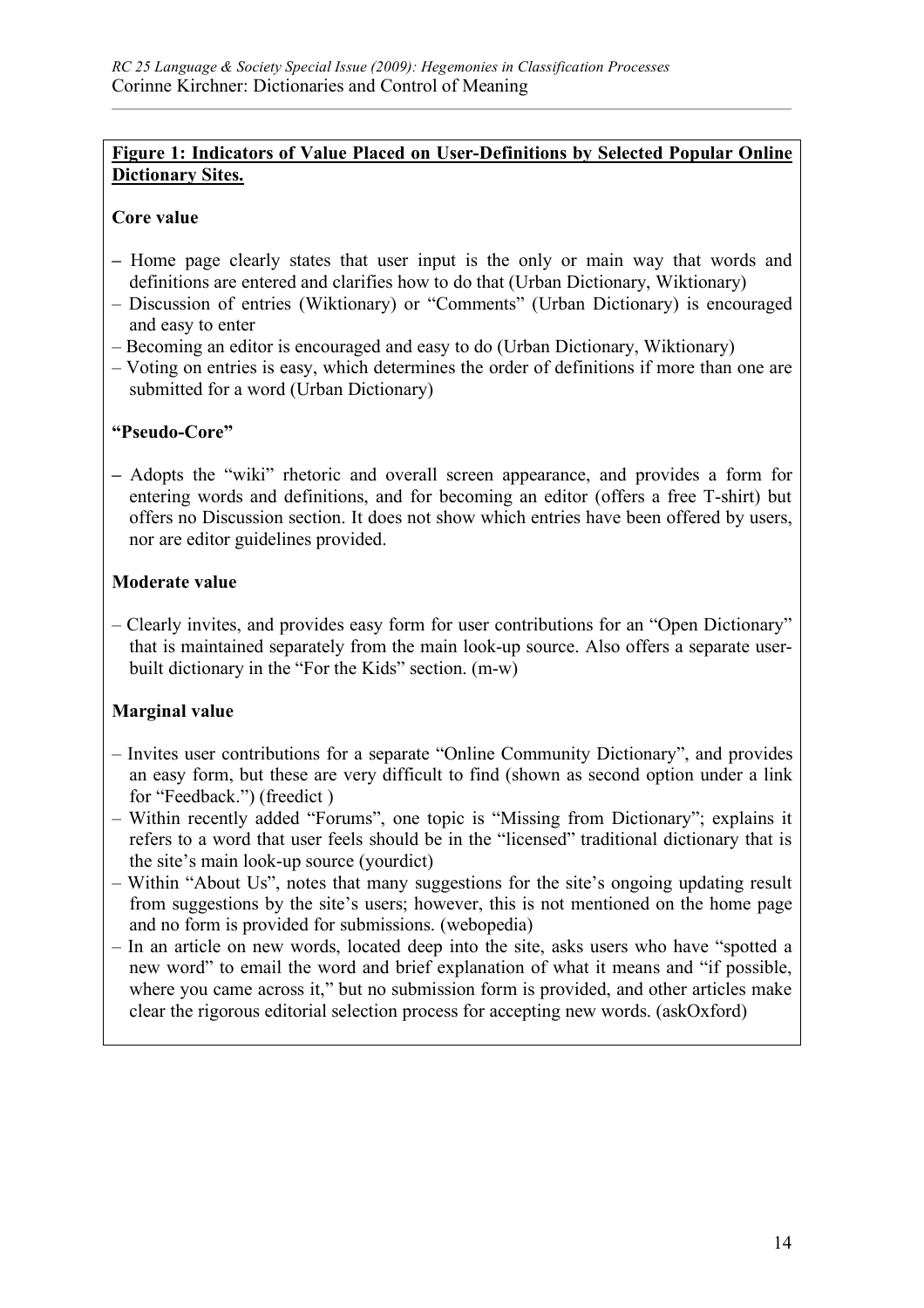#### **Figure 1: Indicators of Value Placed on User-Definitions by Selected Popular Online Dictionary Sites.**

#### **Core value**

- **–** Home page clearly states that user input is the only or main way that words and definitions are entered and clarifies how to do that (Urban Dictionary, Wiktionary)
- Discussion of entries (Wiktionary) or "Comments" (Urban Dictionary) is encouraged and easy to enter
- Becoming an editor is encouraged and easy to do (Urban Dictionary, Wiktionary)
- Voting on entries is easy, which determines the order of definitions if more than one are submitted for a word (Urban Dictionary)

#### **"Pseudo-Core"**

**–** Adopts the "wiki" rhetoric and overall screen appearance, and provides a form for entering words and definitions, and for becoming an editor (offers a free T-shirt) but offers no Discussion section. It does not show which entries have been offered by users, nor are editor guidelines provided.

#### **Moderate value**

– Clearly invites, and provides easy form for user contributions for an "Open Dictionary" that is maintained separately from the main look-up source. Also offers a separate userbuilt dictionary in the "For the Kids" section. (m-w)

#### **Marginal value**

- Invites user contributions for a separate "Online Community Dictionary", and provides an easy form, but these are very difficult to find (shown as second option under a link for "Feedback.") (freedict )
- Within recently added "Forums", one topic is "Missing from Dictionary"; explains it refers to a word that user feels should be in the "licensed" traditional dictionary that is the site's main look-up source (yourdict)
- Within "About Us", notes that many suggestions for the site's ongoing updating result from suggestions by the site's users; however, this is not mentioned on the home page and no form is provided for submissions. (webopedia)
- In an article on new words, located deep into the site, asks users who have "spotted a new word" to email the word and brief explanation of what it means and "if possible, where you came across it," but no submission form is provided, and other articles make clear the rigorous editorial selection process for accepting new words. (askOxford)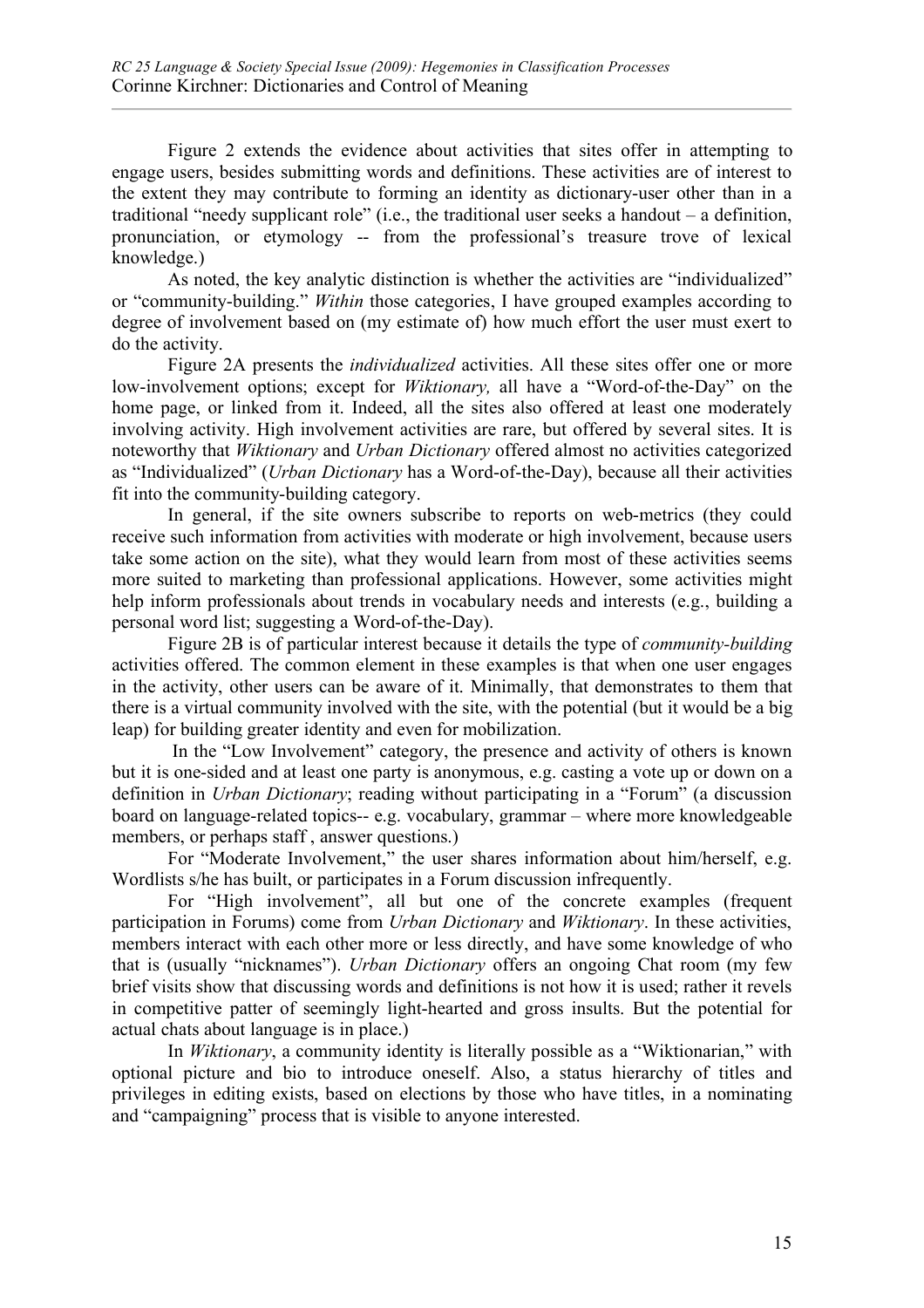Figure 2 extends the evidence about activities that sites offer in attempting to engage users, besides submitting words and definitions. These activities are of interest to the extent they may contribute to forming an identity as dictionary-user other than in a traditional "needy supplicant role" (i.e., the traditional user seeks a handout – a definition, pronunciation, or etymology -- from the professional's treasure trove of lexical knowledge.)

As noted, the key analytic distinction is whether the activities are "individualized" or "community-building." *Within* those categories, I have grouped examples according to degree of involvement based on (my estimate of) how much effort the user must exert to do the activity.

Figure 2A presents the *individualized* activities. All these sites offer one or more low-involvement options; except for *Wiktionary,* all have a "Word-of-the-Day" on the home page, or linked from it. Indeed, all the sites also offered at least one moderately involving activity. High involvement activities are rare, but offered by several sites. It is noteworthy that *Wiktionary* and *Urban Dictionary* offered almost no activities categorized as "Individualized" (*Urban Dictionary* has a Word-of-the-Day), because all their activities fit into the community-building category.

In general, if the site owners subscribe to reports on web-metrics (they could receive such information from activities with moderate or high involvement, because users take some action on the site), what they would learn from most of these activities seems more suited to marketing than professional applications. However, some activities might help inform professionals about trends in vocabulary needs and interests (e.g., building a personal word list; suggesting a Word-of-the-Day).

Figure 2B is of particular interest because it details the type of *community-building* activities offered. The common element in these examples is that when one user engages in the activity, other users can be aware of it. Minimally, that demonstrates to them that there is a virtual community involved with the site, with the potential (but it would be a big leap) for building greater identity and even for mobilization.

 In the "Low Involvement" category, the presence and activity of others is known but it is one-sided and at least one party is anonymous, e.g. casting a vote up or down on a definition in *Urban Dictionary*; reading without participating in a "Forum" (a discussion board on language-related topics-- e.g. vocabulary, grammar – where more knowledgeable members, or perhaps staff , answer questions.)

For "Moderate Involvement," the user shares information about him/herself, e.g. Wordlists s/he has built, or participates in a Forum discussion infrequently.

For "High involvement", all but one of the concrete examples (frequent participation in Forums) come from *Urban Dictionary* and *Wiktionary*. In these activities, members interact with each other more or less directly, and have some knowledge of who that is (usually "nicknames"). *Urban Dictionary* offers an ongoing Chat room (my few brief visits show that discussing words and definitions is not how it is used; rather it revels in competitive patter of seemingly light-hearted and gross insults. But the potential for actual chats about language is in place.)

In *Wiktionary*, a community identity is literally possible as a "Wiktionarian," with optional picture and bio to introduce oneself. Also, a status hierarchy of titles and privileges in editing exists, based on elections by those who have titles, in a nominating and "campaigning" process that is visible to anyone interested.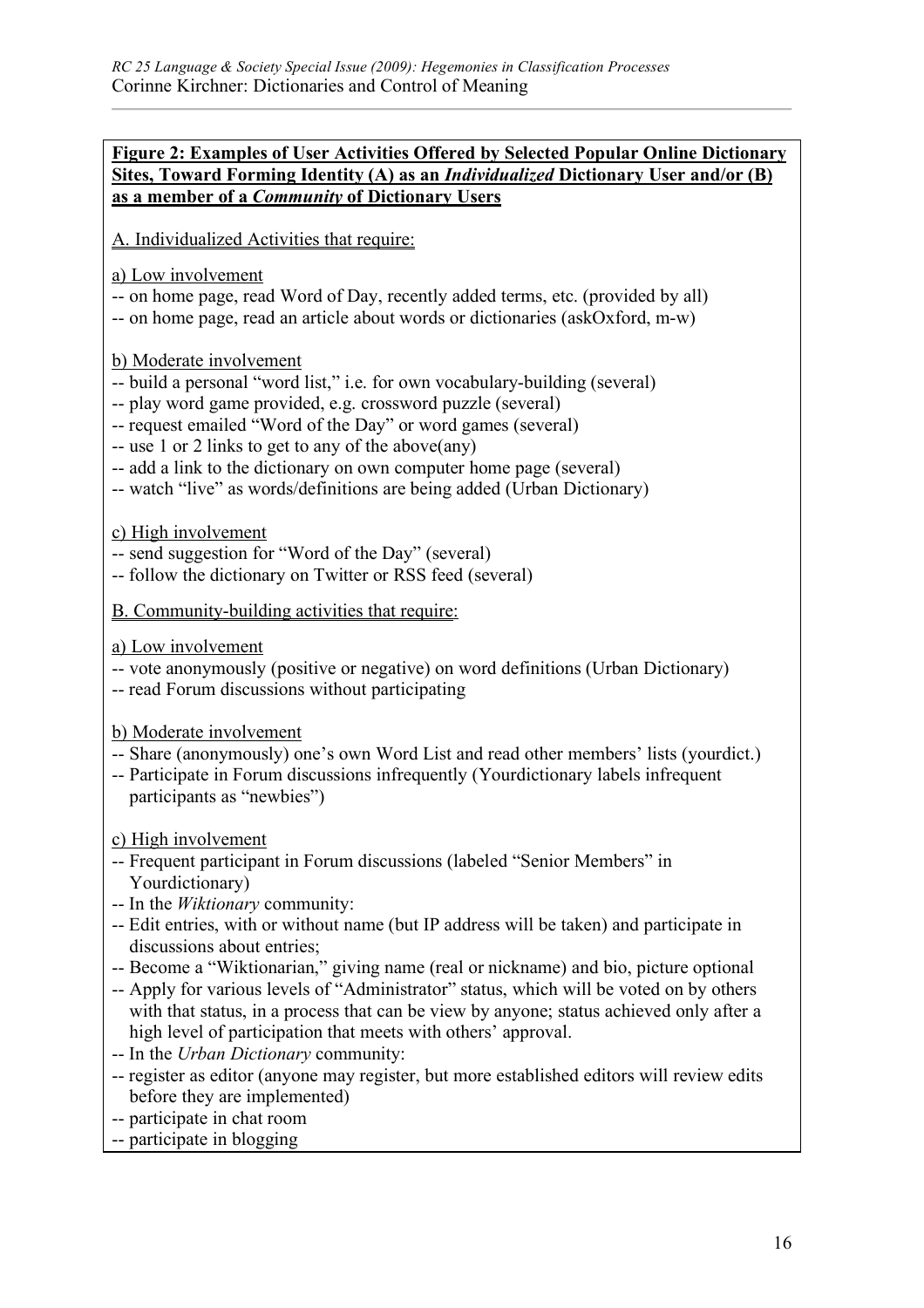#### **Figure 2: Examples of User Activities Offered by Selected Popular Online Dictionary Sites, Toward Forming Identity (A) as an** *Individualized* **Dictionary User and/or (B) as a member of a** *Community* **of Dictionary Users**

A. Individualized Activities that require:

a) Low involvement

- -- on home page, read Word of Day, recently added terms, etc. (provided by all)
- -- on home page, read an article about words or dictionaries (askOxford, m-w)

b) Moderate involvement

- -- build a personal "word list," i.e. for own vocabulary-building (several)
- -- play word game provided, e.g. crossword puzzle (several)
- -- request emailed "Word of the Day" or word games (several)
- -- use 1 or 2 links to get to any of the above(any)
- -- add a link to the dictionary on own computer home page (several)
- -- watch "live" as words/definitions are being added (Urban Dictionary)

c) High involvement

- -- send suggestion for "Word of the Day" (several)
- -- follow the dictionary on Twitter or RSS feed (several)
- B. Community-building activities that require:
- a) Low involvement
- -- vote anonymously (positive or negative) on word definitions (Urban Dictionary)
- -- read Forum discussions without participating

b) Moderate involvement

- -- Share (anonymously) one's own Word List and read other members' lists (yourdict.)
- -- Participate in Forum discussions infrequently (Yourdictionary labels infrequent participants as "newbies")

c) High involvement

- -- Frequent participant in Forum discussions (labeled "Senior Members" in Yourdictionary)
- -- In the *Wiktionary* community:
- -- Edit entries, with or without name (but IP address will be taken) and participate in discussions about entries;
- -- Become a "Wiktionarian," giving name (real or nickname) and bio, picture optional
- -- Apply for various levels of "Administrator" status, which will be voted on by others with that status, in a process that can be view by anyone; status achieved only after a high level of participation that meets with others' approval.
- -- In the *Urban Dictionary* community:
- -- register as editor (anyone may register, but more established editors will review edits before they are implemented)
- -- participate in chat room
- -- participate in blogging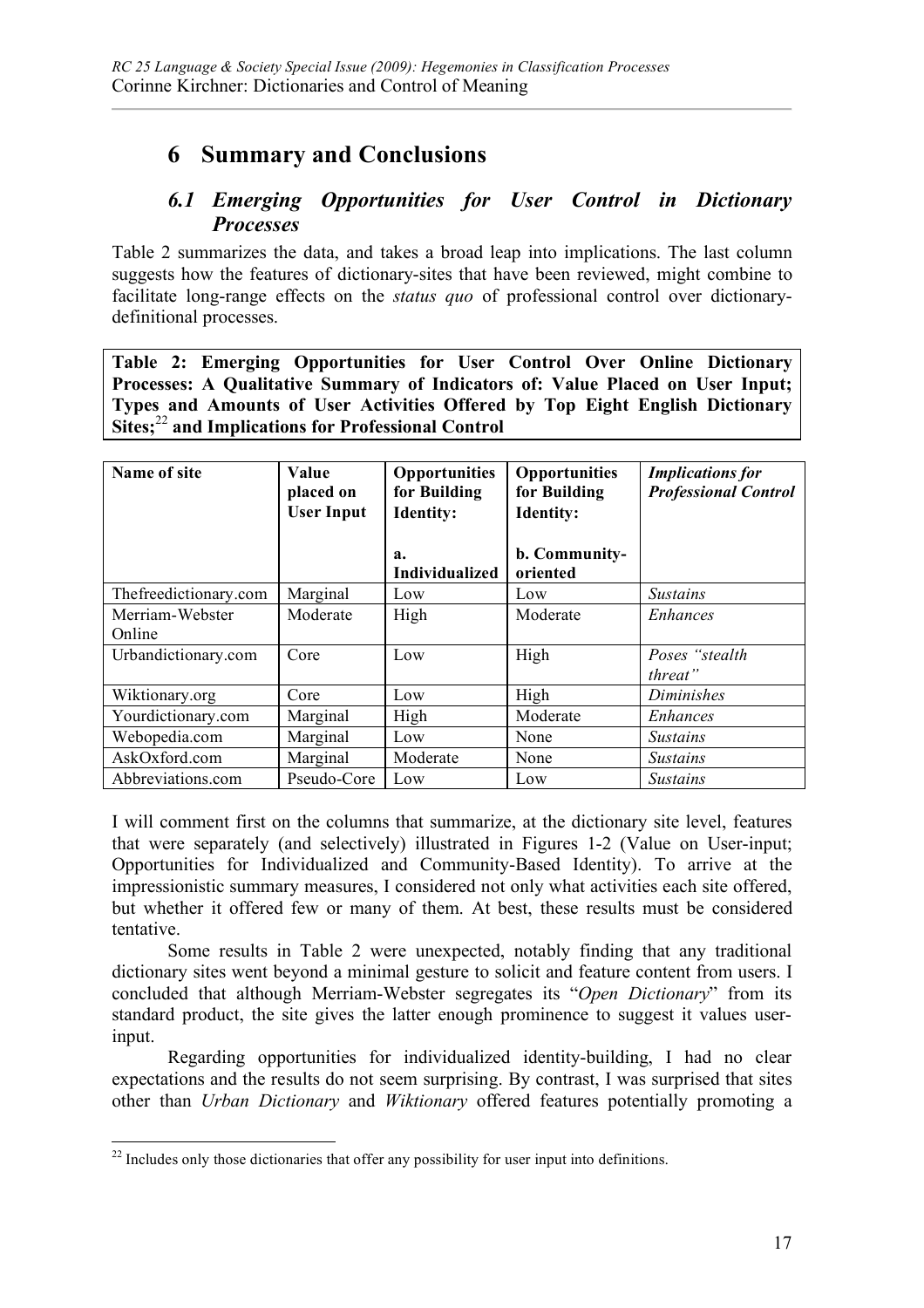# **6 Summary and Conclusions**

### *6.1 Emerging Opportunities for User Control in Dictionary Processes*

Table 2 summarizes the data, and takes a broad leap into implications. The last column suggests how the features of dictionary-sites that have been reviewed, might combine to facilitate long-range effects on the *status quo* of professional control over dictionarydefinitional processes.

**Table 2: Emerging Opportunities for User Control Over Online Dictionary Processes: A Qualitative Summary of Indicators of: Value Placed on User Input; Types and Amounts of User Activities Offered by Top Eight English Dictionary Sites;** <sup>22</sup> **and Implications for Professional Control**

| Name of site              | Value<br>placed on<br><b>User Input</b> | <b>Opportunities</b><br>for Building<br><b>Identity:</b><br>$a_{\cdot}$<br><b>Individualized</b> | <b>Opportunities</b><br>for Building<br><b>Identity:</b><br>b. Community-<br>oriented | <b>Implications</b> for<br><b>Professional Control</b> |
|---------------------------|-----------------------------------------|--------------------------------------------------------------------------------------------------|---------------------------------------------------------------------------------------|--------------------------------------------------------|
| The freedictionary.com    | Marginal                                | Low                                                                                              | Low                                                                                   | <i>Sustains</i>                                        |
| Merriam-Webster<br>Online | Moderate                                | High                                                                                             | Moderate                                                                              | <i>Enhances</i>                                        |
| Urbandictionary.com       | Core                                    | Low                                                                                              | High                                                                                  | Poses "stealth<br>threat"                              |
| Wiktionary.org            | Core                                    | Low                                                                                              | High                                                                                  | Diminishes                                             |
| Yourdictionary.com        | Marginal                                | High                                                                                             | Moderate                                                                              | Enhances                                               |
| Webopedia.com             | Marginal                                | Low                                                                                              | None                                                                                  | <i>Sustains</i>                                        |
| AskOxford.com             | Marginal                                | Moderate                                                                                         | None                                                                                  | <i>Sustains</i>                                        |
| Abbreviations.com         | Pseudo-Core                             | Low                                                                                              | Low                                                                                   | <i>Sustains</i>                                        |

I will comment first on the columns that summarize, at the dictionary site level, features that were separately (and selectively) illustrated in Figures 1-2 (Value on User-input; Opportunities for Individualized and Community-Based Identity). To arrive at the impressionistic summary measures, I considered not only what activities each site offered, but whether it offered few or many of them. At best, these results must be considered tentative.

Some results in Table 2 were unexpected, notably finding that any traditional dictionary sites went beyond a minimal gesture to solicit and feature content from users. I concluded that although Merriam-Webster segregates its "*Open Dictionary*" from its standard product, the site gives the latter enough prominence to suggest it values userinput.

Regarding opportunities for individualized identity-building, I had no clear expectations and the results do not seem surprising. By contrast, I was surprised that sites other than *Urban Dictionary* and *Wiktionary* offered features potentially promoting a

 $22$  Includes only those dictionaries that offer any possibility for user input into definitions.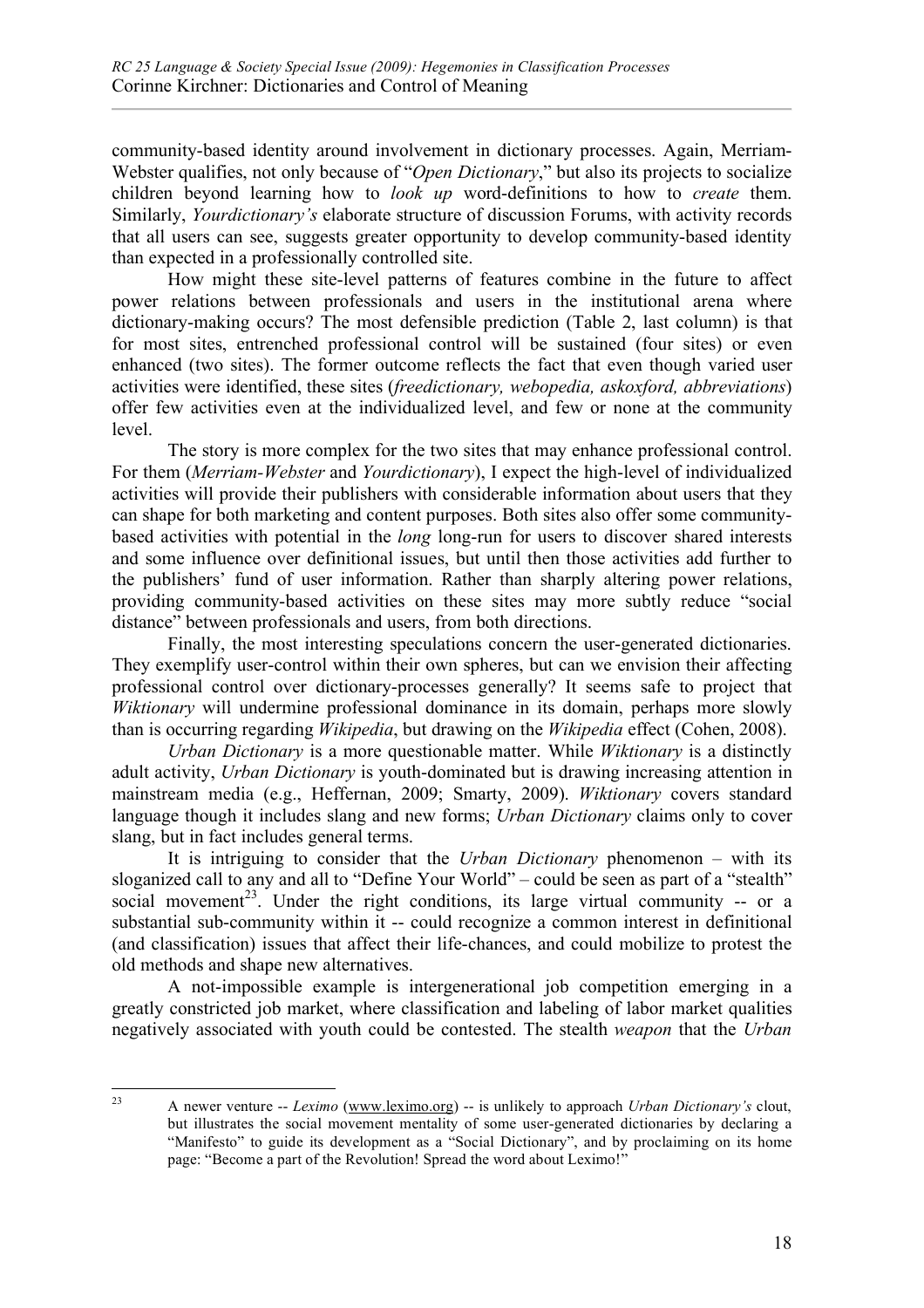community-based identity around involvement in dictionary processes. Again, Merriam-Webster qualifies, not only because of "*Open Dictionary*," but also its projects to socialize children beyond learning how to *look up* word-definitions to how to *create* them. Similarly, *Yourdictionary's* elaborate structure of discussion Forums, with activity records that all users can see, suggests greater opportunity to develop community-based identity than expected in a professionally controlled site.

How might these site-level patterns of features combine in the future to affect power relations between professionals and users in the institutional arena where dictionary-making occurs? The most defensible prediction (Table 2, last column) is that for most sites, entrenched professional control will be sustained (four sites) or even enhanced (two sites). The former outcome reflects the fact that even though varied user activities were identified, these sites (*freedictionary, webopedia, askoxford, abbreviations*) offer few activities even at the individualized level, and few or none at the community level.

The story is more complex for the two sites that may enhance professional control. For them (*Merriam-Webster* and *Yourdictionary*), I expect the high-level of individualized activities will provide their publishers with considerable information about users that they can shape for both marketing and content purposes. Both sites also offer some communitybased activities with potential in the *long* long-run for users to discover shared interests and some influence over definitional issues, but until then those activities add further to the publishers' fund of user information. Rather than sharply altering power relations, providing community-based activities on these sites may more subtly reduce "social distance" between professionals and users, from both directions.

Finally, the most interesting speculations concern the user-generated dictionaries. They exemplify user-control within their own spheres, but can we envision their affecting professional control over dictionary-processes generally? It seems safe to project that *Wiktionary* will undermine professional dominance in its domain, perhaps more slowly than is occurring regarding *Wikipedia*, but drawing on the *Wikipedia* effect (Cohen, 2008).

*Urban Dictionary* is a more questionable matter. While *Wiktionary* is a distinctly adult activity, *Urban Dictionary* is youth-dominated but is drawing increasing attention in mainstream media (e.g., Heffernan, 2009; Smarty, 2009). *Wiktionary* covers standard language though it includes slang and new forms; *Urban Dictionary* claims only to cover slang, but in fact includes general terms.

It is intriguing to consider that the *Urban Dictionary* phenomenon – with its sloganized call to any and all to "Define Your World" – could be seen as part of a "stealth" social movement<sup>23</sup>. Under the right conditions, its large virtual community  $-$  or a substantial sub-community within it -- could recognize a common interest in definitional (and classification) issues that affect their life-chances, and could mobilize to protest the old methods and shape new alternatives.

A not-impossible example is intergenerational job competition emerging in a greatly constricted job market, where classification and labeling of labor market qualities negatively associated with youth could be contested. The stealth *weapon* that the *Urban* 

 <sup>23</sup> A newer venture -- *Leximo* (www.leximo.org) -- is unlikely to approach *Urban Dictionary's* clout, but illustrates the social movement mentality of some user-generated dictionaries by declaring a "Manifesto" to guide its development as a "Social Dictionary", and by proclaiming on its home page: "Become a part of the Revolution! Spread the word about Leximo!"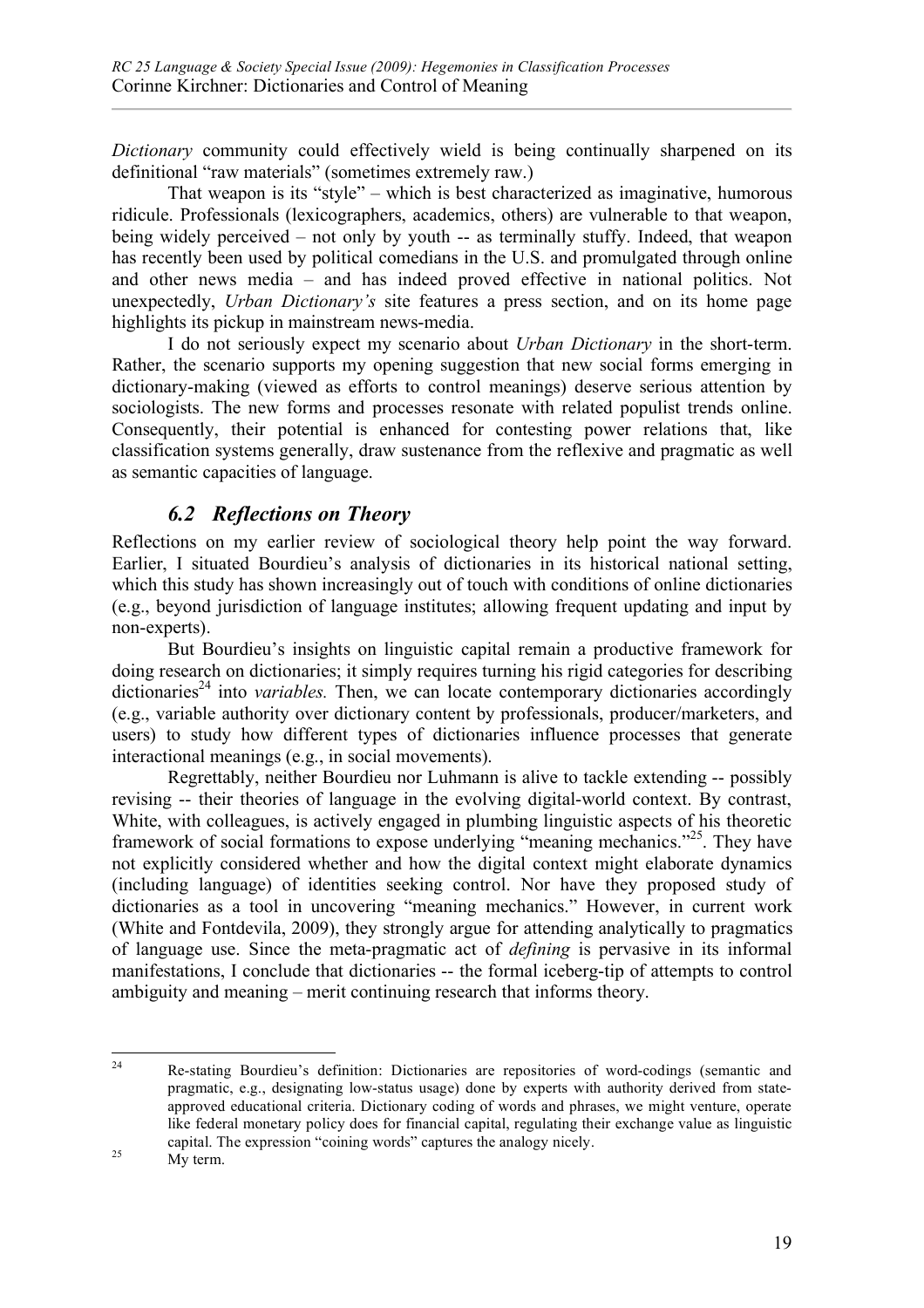*Dictionary* community could effectively wield is being continually sharpened on its definitional "raw materials" (sometimes extremely raw.)

That weapon is its "style" – which is best characterized as imaginative, humorous ridicule. Professionals (lexicographers, academics, others) are vulnerable to that weapon, being widely perceived – not only by youth -- as terminally stuffy. Indeed, that weapon has recently been used by political comedians in the U.S. and promulgated through online and other news media – and has indeed proved effective in national politics. Not unexpectedly, *Urban Dictionary's* site features a press section, and on its home page highlights its pickup in mainstream news-media.

I do not seriously expect my scenario about *Urban Dictionary* in the short-term. Rather, the scenario supports my opening suggestion that new social forms emerging in dictionary-making (viewed as efforts to control meanings) deserve serious attention by sociologists. The new forms and processes resonate with related populist trends online. Consequently, their potential is enhanced for contesting power relations that, like classification systems generally, draw sustenance from the reflexive and pragmatic as well as semantic capacities of language.

## *6.2 Reflections on Theory*

Reflections on my earlier review of sociological theory help point the way forward. Earlier, I situated Bourdieu's analysis of dictionaries in its historical national setting, which this study has shown increasingly out of touch with conditions of online dictionaries (e.g., beyond jurisdiction of language institutes; allowing frequent updating and input by non-experts).

But Bourdieu's insights on linguistic capital remain a productive framework for doing research on dictionaries; it simply requires turning his rigid categories for describing  $dictionaries<sup>24</sup>$  into *variables*. Then, we can locate contemporary dictionaries accordingly (e.g., variable authority over dictionary content by professionals, producer/marketers, and users) to study how different types of dictionaries influence processes that generate interactional meanings (e.g., in social movements).

Regrettably, neither Bourdieu nor Luhmann is alive to tackle extending -- possibly revising -- their theories of language in the evolving digital-world context. By contrast, White, with colleagues, is actively engaged in plumbing linguistic aspects of his theoretic framework of social formations to expose underlying "meaning mechanics."25. They have not explicitly considered whether and how the digital context might elaborate dynamics (including language) of identities seeking control. Nor have they proposed study of dictionaries as a tool in uncovering "meaning mechanics." However, in current work (White and Fontdevila, 2009), they strongly argue for attending analytically to pragmatics of language use. Since the meta-pragmatic act of *defining* is pervasive in its informal manifestations, I conclude that dictionaries -- the formal iceberg-tip of attempts to control ambiguity and meaning – merit continuing research that informs theory.

 <sup>24</sup> Re-stating Bourdieu's definition: Dictionaries are repositories of word-codings (semantic and pragmatic, e.g., designating low-status usage) done by experts with authority derived from stateapproved educational criteria. Dictionary coding of words and phrases, we might venture, operate like federal monetary policy does for financial capital, regulating their exchange value as linguistic capital. The expression "coining words" captures the analogy nicely.<br>My term.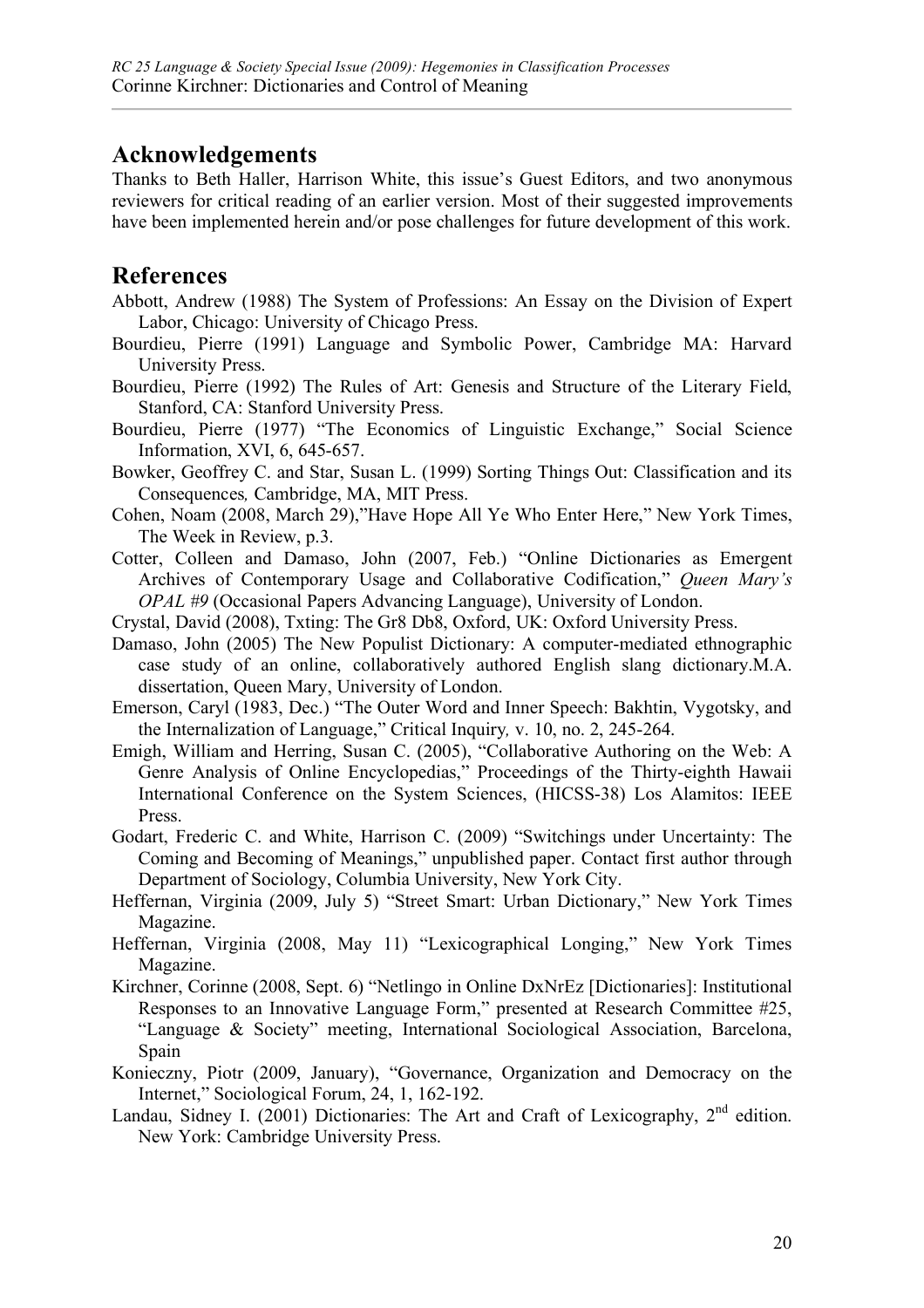# **Acknowledgements**

Thanks to Beth Haller, Harrison White, this issue's Guest Editors, and two anonymous reviewers for critical reading of an earlier version. Most of their suggested improvements have been implemented herein and/or pose challenges for future development of this work.

## **References**

- Abbott, Andrew (1988) The System of Professions: An Essay on the Division of Expert Labor, Chicago: University of Chicago Press.
- Bourdieu, Pierre (1991) Language and Symbolic Power, Cambridge MA: Harvard University Press.
- Bourdieu, Pierre (1992) The Rules of Art: Genesis and Structure of the Literary Field, Stanford, CA: Stanford University Press.
- Bourdieu, Pierre (1977) "The Economics of Linguistic Exchange," Social Science Information, XVI, 6, 645-657.
- Bowker, Geoffrey C. and Star, Susan L. (1999) Sorting Things Out: Classification and its Consequences*,* Cambridge, MA, MIT Press.
- Cohen, Noam (2008, March 29),"Have Hope All Ye Who Enter Here," New York Times, The Week in Review, p.3.
- Cotter, Colleen and Damaso, John (2007, Feb.) "Online Dictionaries as Emergent Archives of Contemporary Usage and Collaborative Codification," *Queen Mary's OPAL #9* (Occasional Papers Advancing Language), University of London.
- Crystal, David (2008), Txting: The Gr8 Db8, Oxford, UK: Oxford University Press.
- Damaso, John (2005) The New Populist Dictionary: A computer-mediated ethnographic case study of an online, collaboratively authored English slang dictionary.M.A. dissertation, Queen Mary, University of London.
- Emerson, Caryl (1983, Dec.) "The Outer Word and Inner Speech: Bakhtin, Vygotsky, and the Internalization of Language," Critical Inquiry*,* v. 10, no. 2, 245-264.
- Emigh, William and Herring, Susan C. (2005), "Collaborative Authoring on the Web: A Genre Analysis of Online Encyclopedias," Proceedings of the Thirty-eighth Hawaii International Conference on the System Sciences, (HICSS-38) Los Alamitos: IEEE Press.
- Godart, Frederic C. and White, Harrison C. (2009) "Switchings under Uncertainty: The Coming and Becoming of Meanings," unpublished paper. Contact first author through Department of Sociology, Columbia University, New York City.
- Heffernan, Virginia (2009, July 5) "Street Smart: Urban Dictionary," New York Times Magazine.
- Heffernan, Virginia (2008, May 11) "Lexicographical Longing," New York Times Magazine.
- Kirchner, Corinne (2008, Sept. 6) "Netlingo in Online DxNrEz [Dictionaries]: Institutional Responses to an Innovative Language Form," presented at Research Committee #25, "Language & Society" meeting, International Sociological Association, Barcelona, Spain
- Konieczny, Piotr (2009, January), "Governance, Organization and Democracy on the Internet," Sociological Forum, 24, 1, 162-192.
- Landau, Sidney I. (2001) Dictionaries: The Art and Craft of Lexicography,  $2<sup>nd</sup>$  edition. New York: Cambridge University Press.